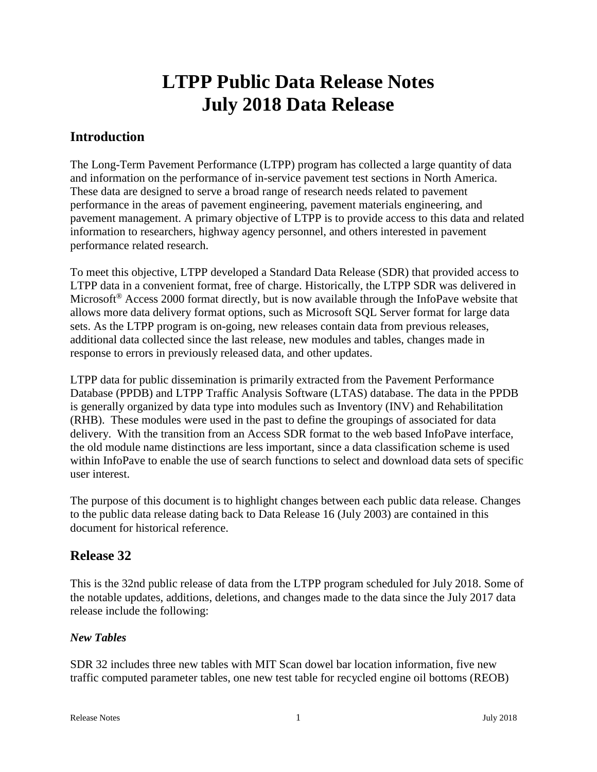# **LTPP Public Data Release Notes July 2018 Data Release**

# **Introduction**

The Long-Term Pavement Performance (LTPP) program has collected a large quantity of data and information on the performance of in-service pavement test sections in North America. These data are designed to serve a broad range of research needs related to pavement performance in the areas of pavement engineering, pavement materials engineering, and pavement management. A primary objective of LTPP is to provide access to this data and related information to researchers, highway agency personnel, and others interested in pavement performance related research.

To meet this objective, LTPP developed a Standard Data Release (SDR) that provided access to LTPP data in a convenient format, free of charge. Historically, the LTPP SDR was delivered in Microsoft<sup>®</sup> Access 2000 format directly, but is now available through the InfoPave website that allows more data delivery format options, such as Microsoft SQL Server format for large data sets. As the LTPP program is on-going, new releases contain data from previous releases, additional data collected since the last release, new modules and tables, changes made in response to errors in previously released data, and other updates.

LTPP data for public dissemination is primarily extracted from the Pavement Performance Database (PPDB) and LTPP Traffic Analysis Software (LTAS) database. The data in the PPDB is generally organized by data type into modules such as Inventory (INV) and Rehabilitation (RHB). These modules were used in the past to define the groupings of associated for data delivery. With the transition from an Access SDR format to the web based InfoPave interface, the old module name distinctions are less important, since a data classification scheme is used within InfoPave to enable the use of search functions to select and download data sets of specific user interest.

The purpose of this document is to highlight changes between each public data release. Changes to the public data release dating back to Data Release 16 (July 2003) are contained in this document for historical reference.

# **Release 32**

This is the 32nd public release of data from the LTPP program scheduled for July 2018. Some of the notable updates, additions, deletions, and changes made to the data since the July 2017 data release include the following:

# *New Tables*

SDR 32 includes three new tables with MIT Scan dowel bar location information, five new traffic computed parameter tables, one new test table for recycled engine oil bottoms (REOB)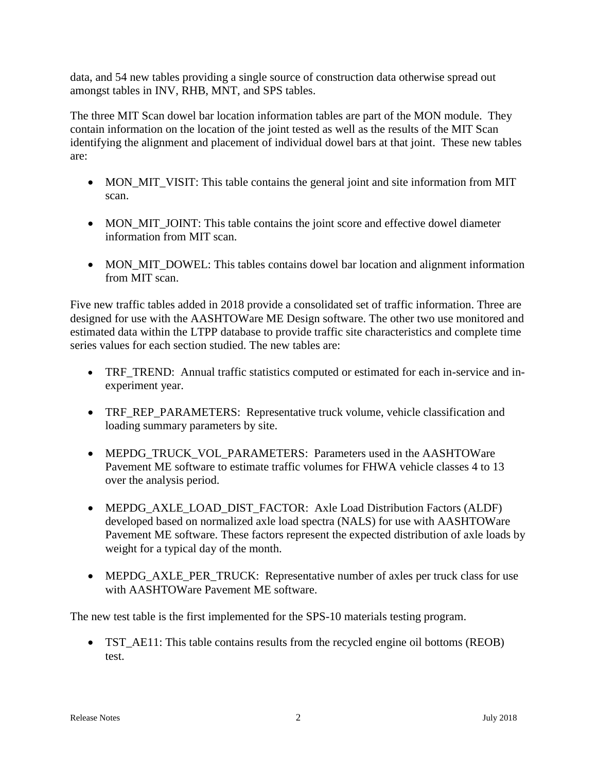data, and 54 new tables providing a single source of construction data otherwise spread out amongst tables in INV, RHB, MNT, and SPS tables.

The three MIT Scan dowel bar location information tables are part of the MON module. They contain information on the location of the joint tested as well as the results of the MIT Scan identifying the alignment and placement of individual dowel bars at that joint. These new tables are:

- MON\_MIT\_VISIT: This table contains the general joint and site information from MIT scan.
- MON\_MIT\_JOINT: This table contains the joint score and effective dowel diameter information from MIT scan.
- MON MIT DOWEL: This tables contains dowel bar location and alignment information from MIT scan.

Five new traffic tables added in 2018 provide a consolidated set of traffic information. Three are designed for use with the AASHTOWare ME Design software. The other two use monitored and estimated data within the LTPP database to provide traffic site characteristics and complete time series values for each section studied. The new tables are:

- TRF TREND: Annual traffic statistics computed or estimated for each in-service and inexperiment year.
- TRF\_REP\_PARAMETERS: Representative truck volume, vehicle classification and loading summary parameters by site.
- MEPDG\_TRUCK\_VOL\_PARAMETERS: Parameters used in the AASHTOWare Pavement ME software to estimate traffic volumes for FHWA vehicle classes 4 to 13 over the analysis period.
- MEPDG\_AXLE\_LOAD\_DIST\_FACTOR: Axle Load Distribution Factors (ALDF) developed based on normalized axle load spectra (NALS) for use with AASHTOWare Pavement ME software. These factors represent the expected distribution of axle loads by weight for a typical day of the month.
- MEPDG\_AXLE\_PER\_TRUCK: Representative number of axles per truck class for use with AASHTOWare Pavement ME software.

The new test table is the first implemented for the SPS-10 materials testing program.

• TST\_AE11: This table contains results from the recycled engine oil bottoms (REOB) test.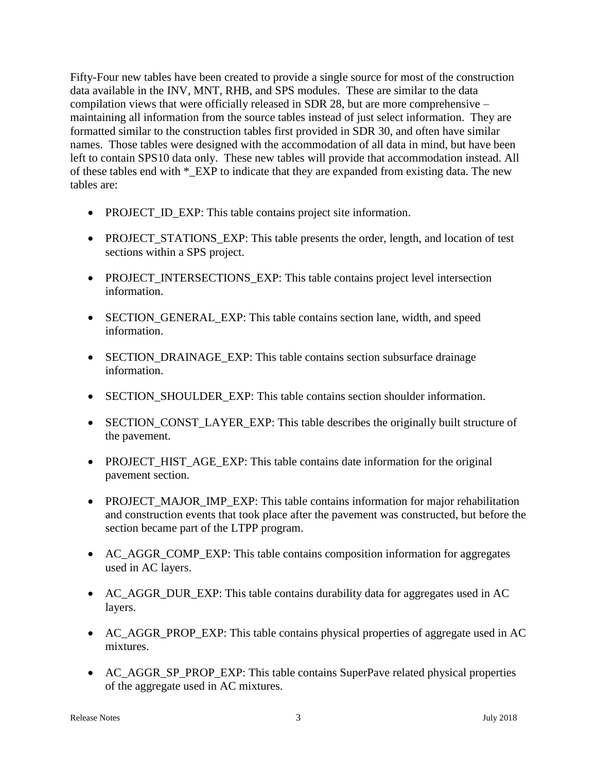Fifty-Four new tables have been created to provide a single source for most of the construction data available in the INV, MNT, RHB, and SPS modules. These are similar to the data compilation views that were officially released in SDR 28, but are more comprehensive – maintaining all information from the source tables instead of just select information. They are formatted similar to the construction tables first provided in SDR 30, and often have similar names. Those tables were designed with the accommodation of all data in mind, but have been left to contain SPS10 data only. These new tables will provide that accommodation instead. All of these tables end with \*\_EXP to indicate that they are expanded from existing data. The new tables are:

- PROJECT\_ID\_EXP: This table contains project site information.
- PROJECT\_STATIONS\_EXP: This table presents the order, length, and location of test sections within a SPS project.
- PROJECT\_INTERSECTIONS\_EXP: This table contains project level intersection information.
- SECTION GENERAL EXP: This table contains section lane, width, and speed information.
- SECTION\_DRAINAGE\_EXP: This table contains section subsurface drainage information.
- SECTION\_SHOULDER\_EXP: This table contains section shoulder information.
- SECTION\_CONST\_LAYER\_EXP: This table describes the originally built structure of the pavement.
- PROJECT HIST AGE EXP: This table contains date information for the original pavement section.
- PROJECT MAJOR IMP EXP: This table contains information for major rehabilitation and construction events that took place after the pavement was constructed, but before the section became part of the LTPP program.
- AC\_AGGR\_COMP\_EXP: This table contains composition information for aggregates used in AC layers.
- AC\_AGGR\_DUR\_EXP: This table contains durability data for aggregates used in AC layers.
- AC\_AGGR\_PROP\_EXP: This table contains physical properties of aggregate used in AC mixtures.
- AC\_AGGR\_SP\_PROP\_EXP: This table contains SuperPave related physical properties of the aggregate used in AC mixtures.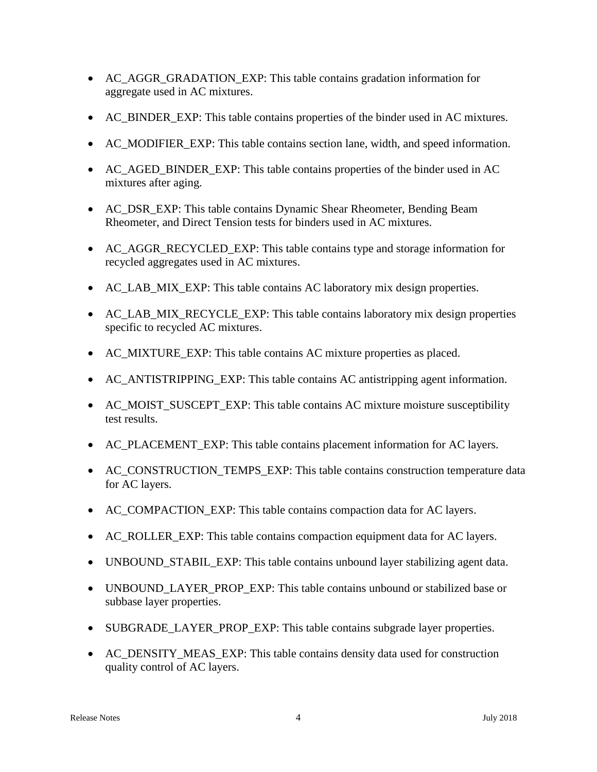- AC\_AGGR\_GRADATION\_EXP: This table contains gradation information for aggregate used in AC mixtures.
- AC\_BINDER\_EXP: This table contains properties of the binder used in AC mixtures.
- AC\_MODIFIER\_EXP: This table contains section lane, width, and speed information.
- AC\_AGED\_BINDER\_EXP: This table contains properties of the binder used in AC mixtures after aging.
- AC\_DSR\_EXP: This table contains Dynamic Shear Rheometer, Bending Beam Rheometer, and Direct Tension tests for binders used in AC mixtures.
- AC\_AGGR\_RECYCLED\_EXP: This table contains type and storage information for recycled aggregates used in AC mixtures.
- AC\_LAB\_MIX\_EXP: This table contains AC laboratory mix design properties.
- AC\_LAB\_MIX\_RECYCLE\_EXP: This table contains laboratory mix design properties specific to recycled AC mixtures.
- AC\_MIXTURE\_EXP: This table contains AC mixture properties as placed.
- AC\_ANTISTRIPPING\_EXP: This table contains AC antistripping agent information.
- AC\_MOIST\_SUSCEPT\_EXP: This table contains AC mixture moisture susceptibility test results.
- AC\_PLACEMENT\_EXP: This table contains placement information for AC layers.
- AC\_CONSTRUCTION\_TEMPS\_EXP: This table contains construction temperature data for AC layers.
- AC\_COMPACTION\_EXP: This table contains compaction data for AC layers.
- AC\_ROLLER\_EXP: This table contains compaction equipment data for AC layers.
- UNBOUND\_STABIL\_EXP: This table contains unbound layer stabilizing agent data.
- UNBOUND\_LAYER\_PROP\_EXP: This table contains unbound or stabilized base or subbase layer properties.
- SUBGRADE\_LAYER\_PROP\_EXP: This table contains subgrade layer properties.
- AC\_DENSITY\_MEAS\_EXP: This table contains density data used for construction quality control of AC layers.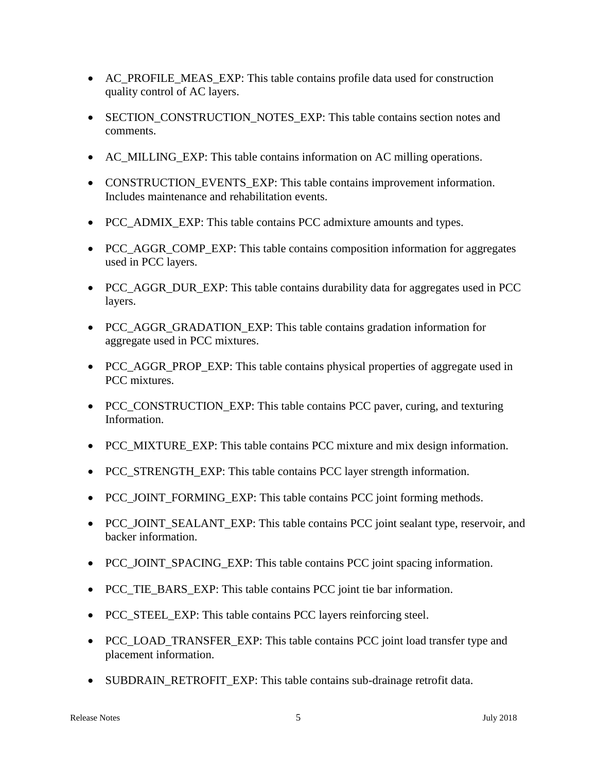- AC\_PROFILE\_MEAS\_EXP: This table contains profile data used for construction quality control of AC layers.
- SECTION CONSTRUCTION NOTES EXP: This table contains section notes and comments.
- AC MILLING EXP: This table contains information on AC milling operations.
- CONSTRUCTION EVENTS EXP: This table contains improvement information. Includes maintenance and rehabilitation events.
- PCC\_ADMIX\_EXP: This table contains PCC admixture amounts and types.
- PCC AGGR COMP EXP: This table contains composition information for aggregates used in PCC layers.
- PCC AGGR DUR EXP: This table contains durability data for aggregates used in PCC layers.
- PCC AGGR GRADATION EXP: This table contains gradation information for aggregate used in PCC mixtures.
- PCC AGGR PROP EXP: This table contains physical properties of aggregate used in PCC mixtures.
- PCC\_CONSTRUCTION\_EXP: This table contains PCC paver, curing, and texturing Information.
- PCC\_MIXTURE\_EXP: This table contains PCC mixture and mix design information.
- PCC\_STRENGTH\_EXP: This table contains PCC layer strength information.
- PCC\_JOINT\_FORMING\_EXP: This table contains PCC joint forming methods.
- PCC\_JOINT\_SEALANT\_EXP: This table contains PCC joint sealant type, reservoir, and backer information.
- PCC\_JOINT\_SPACING\_EXP: This table contains PCC joint spacing information.
- PCC\_TIE\_BARS\_EXP: This table contains PCC joint tie bar information.
- PCC\_STEEL\_EXP: This table contains PCC layers reinforcing steel.
- PCC\_LOAD\_TRANSFER\_EXP: This table contains PCC joint load transfer type and placement information.
- SUBDRAIN\_RETROFIT\_EXP: This table contains sub-drainage retrofit data.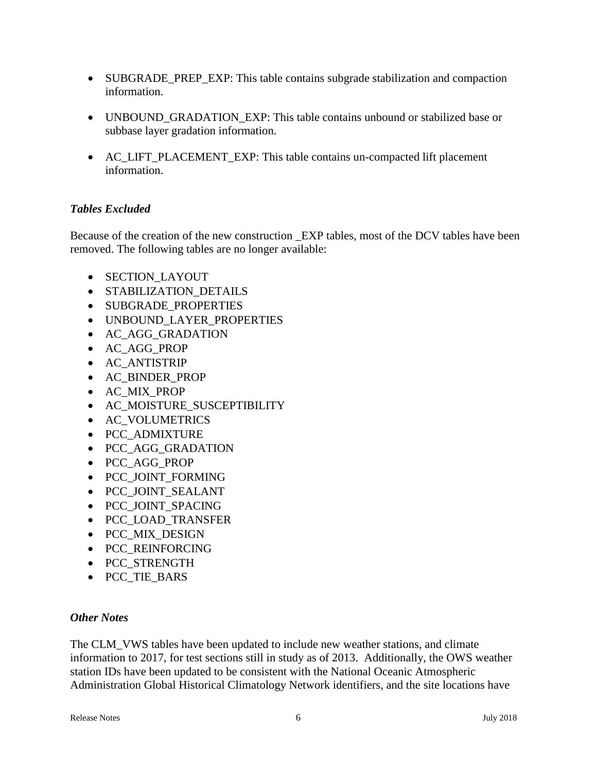- SUBGRADE\_PREP\_EXP: This table contains subgrade stabilization and compaction information.
- UNBOUND GRADATION EXP: This table contains unbound or stabilized base or subbase layer gradation information.
- AC\_LIFT\_PLACEMENT\_EXP: This table contains un-compacted lift placement information.

### *Tables Excluded*

Because of the creation of the new construction \_EXP tables, most of the DCV tables have been removed. The following tables are no longer available:

- SECTION LAYOUT
- STABILIZATION DETAILS
- SUBGRADE PROPERTIES
- UNBOUND LAYER PROPERTIES
- AC AGG GRADATION
- AC\_AGG\_PROP
- AC\_ANTISTRIP
- AC\_BINDER\_PROP
- AC\_MIX\_PROP
- AC\_MOISTURE\_SUSCEPTIBILITY
- AC\_VOLUMETRICS
- PCC\_ADMIXTURE
- PCC AGG GRADATION
- PCC\_AGG\_PROP
- PCC\_JOINT\_FORMING
- PCC\_JOINT\_SEALANT
- PCC\_JOINT\_SPACING
- PCC\_LOAD\_TRANSFER
- PCC MIX DESIGN
- PCC\_REINFORCING
- PCC\_STRENGTH
- PCC\_TIE\_BARS

### *Other Notes*

The CLM VWS tables have been updated to include new weather stations, and climate information to 2017, for test sections still in study as of 2013. Additionally, the OWS weather station IDs have been updated to be consistent with the National Oceanic Atmospheric Administration Global Historical Climatology Network identifiers, and the site locations have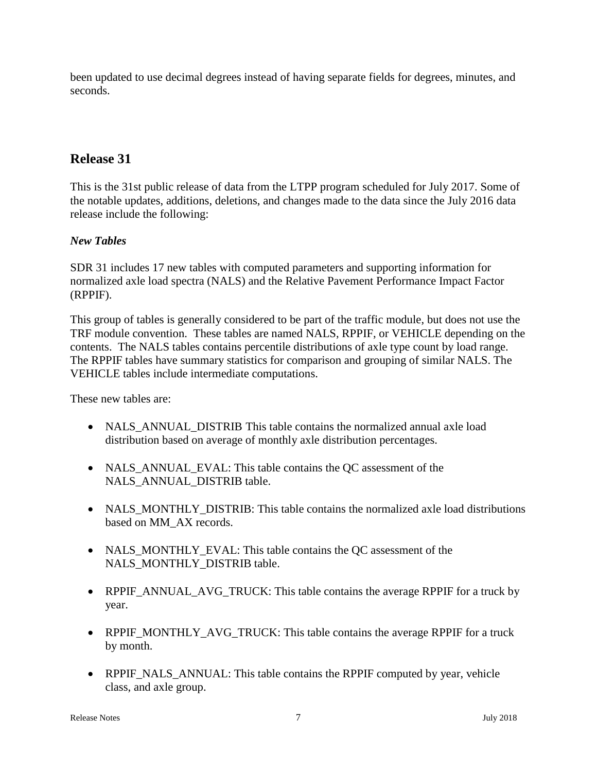been updated to use decimal degrees instead of having separate fields for degrees, minutes, and seconds.

# **Release 31**

This is the 31st public release of data from the LTPP program scheduled for July 2017. Some of the notable updates, additions, deletions, and changes made to the data since the July 2016 data release include the following:

### *New Tables*

SDR 31 includes 17 new tables with computed parameters and supporting information for normalized axle load spectra (NALS) and the Relative Pavement Performance Impact Factor (RPPIF).

This group of tables is generally considered to be part of the traffic module, but does not use the TRF module convention. These tables are named NALS, RPPIF, or VEHICLE depending on the contents. The NALS tables contains percentile distributions of axle type count by load range. The RPPIF tables have summary statistics for comparison and grouping of similar NALS. The VEHICLE tables include intermediate computations.

These new tables are:

- NALS\_ANNUAL\_DISTRIB This table contains the normalized annual axle load distribution based on average of monthly axle distribution percentages.
- NALS ANNUAL EVAL: This table contains the QC assessment of the NALS\_ANNUAL\_DISTRIB table.
- NALS MONTHLY DISTRIB: This table contains the normalized axle load distributions based on MM\_AX records.
- NALS\_MONTHLY\_EVAL: This table contains the QC assessment of the NALS\_MONTHLY\_DISTRIB table.
- RPPIF\_ANNUAL\_AVG\_TRUCK: This table contains the average RPPIF for a truck by year.
- RPPIF\_MONTHLY\_AVG\_TRUCK: This table contains the average RPPIF for a truck by month.
- RPPIF\_NALS\_ANNUAL: This table contains the RPPIF computed by year, vehicle class, and axle group.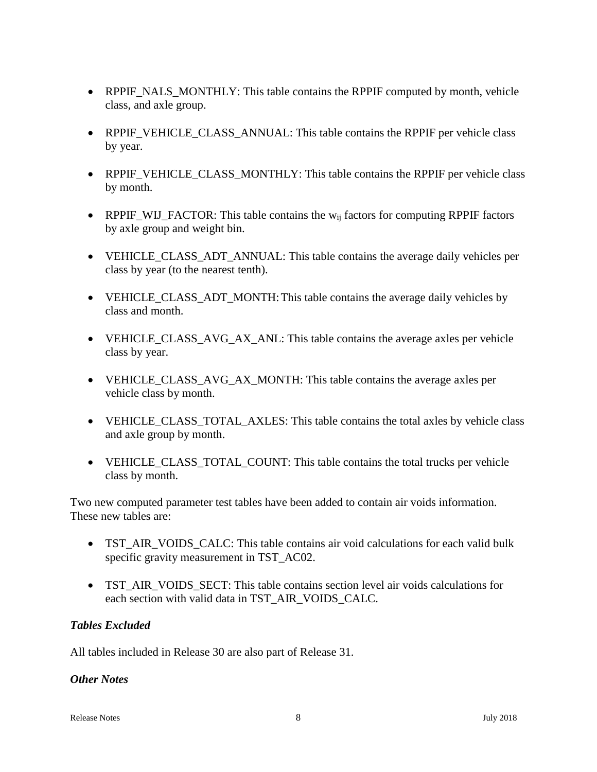- RPPIF\_NALS\_MONTHLY: This table contains the RPPIF computed by month, vehicle class, and axle group.
- RPPIF\_VEHICLE\_CLASS\_ANNUAL: This table contains the RPPIF per vehicle class by year.
- RPPIF\_VEHICLE\_CLASS\_MONTHLY: This table contains the RPPIF per vehicle class by month.
- RPPIF\_WIJ\_FACTOR: This table contains the  $w_{ij}$  factors for computing RPPIF factors by axle group and weight bin.
- VEHICLE\_CLASS\_ADT\_ANNUAL: This table contains the average daily vehicles per class by year (to the nearest tenth).
- VEHICLE\_CLASS\_ADT\_MONTH: This table contains the average daily vehicles by class and month.
- VEHICLE\_CLASS\_AVG\_AX\_ANL: This table contains the average axles per vehicle class by year.
- VEHICLE\_CLASS\_AVG\_AX\_MONTH: This table contains the average axles per vehicle class by month.
- VEHICLE\_CLASS\_TOTAL\_AXLES: This table contains the total axles by vehicle class and axle group by month.
- VEHICLE\_CLASS\_TOTAL\_COUNT: This table contains the total trucks per vehicle class by month.

Two new computed parameter test tables have been added to contain air voids information. These new tables are:

- TST\_AIR\_VOIDS\_CALC: This table contains air void calculations for each valid bulk specific gravity measurement in TST\_AC02.
- TST\_AIR\_VOIDS\_SECT: This table contains section level air voids calculations for each section with valid data in TST\_AIR\_VOIDS\_CALC.

### *Tables Excluded*

All tables included in Release 30 are also part of Release 31.

### *Other Notes*

Release Notes **8** July 2018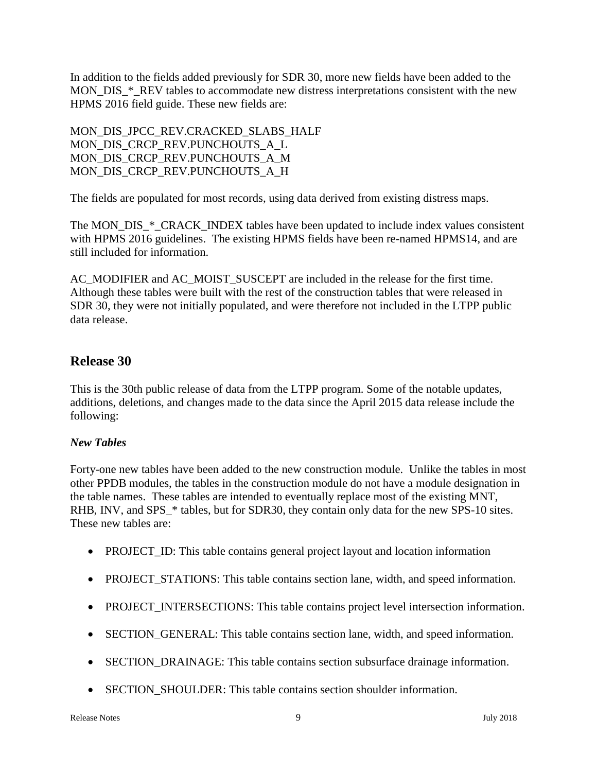In addition to the fields added previously for SDR 30, more new fields have been added to the MON\_DIS\_\*\_REV tables to accommodate new distress interpretations consistent with the new HPMS 2016 field guide. These new fields are:

MON\_DIS\_JPCC\_REV.CRACKED\_SLABS\_HALF MON\_DIS\_CRCP\_REV.PUNCHOUTS\_A\_L MON\_DIS\_CRCP\_REV.PUNCHOUTS\_A\_M MON\_DIS\_CRCP\_REV.PUNCHOUTS\_A\_H

The fields are populated for most records, using data derived from existing distress maps.

The MON\_DIS\_\*\_CRACK\_INDEX tables have been updated to include index values consistent with HPMS 2016 guidelines. The existing HPMS fields have been re-named HPMS14, and are still included for information.

AC\_MODIFIER and AC\_MOIST\_SUSCEPT are included in the release for the first time. Although these tables were built with the rest of the construction tables that were released in SDR 30, they were not initially populated, and were therefore not included in the LTPP public data release.

# **Release 30**

This is the 30th public release of data from the LTPP program. Some of the notable updates, additions, deletions, and changes made to the data since the April 2015 data release include the following:

### *New Tables*

Forty-one new tables have been added to the new construction module. Unlike the tables in most other PPDB modules, the tables in the construction module do not have a module designation in the table names. These tables are intended to eventually replace most of the existing MNT, RHB, INV, and SPS  $*$  tables, but for SDR30, they contain only data for the new SPS-10 sites. These new tables are:

- PROJECT\_ID: This table contains general project layout and location information
- PROJECT\_STATIONS: This table contains section lane, width, and speed information.
- PROJECT INTERSECTIONS: This table contains project level intersection information.
- SECTION GENERAL: This table contains section lane, width, and speed information.
- SECTION DRAINAGE: This table contains section subsurface drainage information.
- SECTION SHOULDER: This table contains section shoulder information.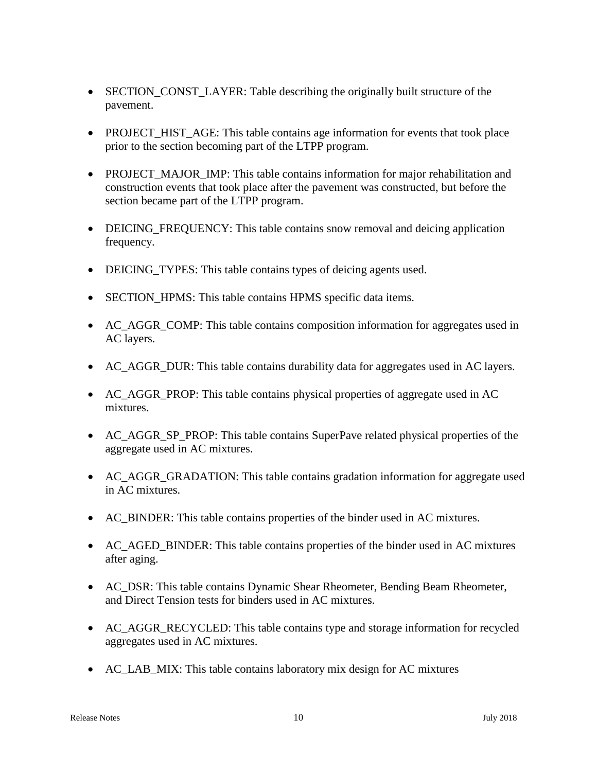- SECTION\_CONST\_LAYER: Table describing the originally built structure of the pavement.
- PROJECT\_HIST\_AGE: This table contains age information for events that took place prior to the section becoming part of the LTPP program.
- PROJECT MAJOR IMP: This table contains information for major rehabilitation and construction events that took place after the pavement was constructed, but before the section became part of the LTPP program.
- DEICING FREQUENCY: This table contains snow removal and deicing application frequency.
- DEICING TYPES: This table contains types of deicing agents used.
- SECTION HPMS: This table contains HPMS specific data items.
- AC\_AGGR\_COMP: This table contains composition information for aggregates used in AC layers.
- AC AGGR DUR: This table contains durability data for aggregates used in AC layers.
- AC\_AGGR\_PROP: This table contains physical properties of aggregate used in AC mixtures.
- AC\_AGGR\_SP\_PROP: This table contains SuperPave related physical properties of the aggregate used in AC mixtures.
- AC\_AGGR\_GRADATION: This table contains gradation information for aggregate used in AC mixtures.
- AC\_BINDER: This table contains properties of the binder used in AC mixtures.
- AC\_AGED\_BINDER: This table contains properties of the binder used in AC mixtures after aging.
- AC DSR: This table contains Dynamic Shear Rheometer, Bending Beam Rheometer, and Direct Tension tests for binders used in AC mixtures.
- AC\_AGGR\_RECYCLED: This table contains type and storage information for recycled aggregates used in AC mixtures.
- AC\_LAB\_MIX: This table contains laboratory mix design for AC mixtures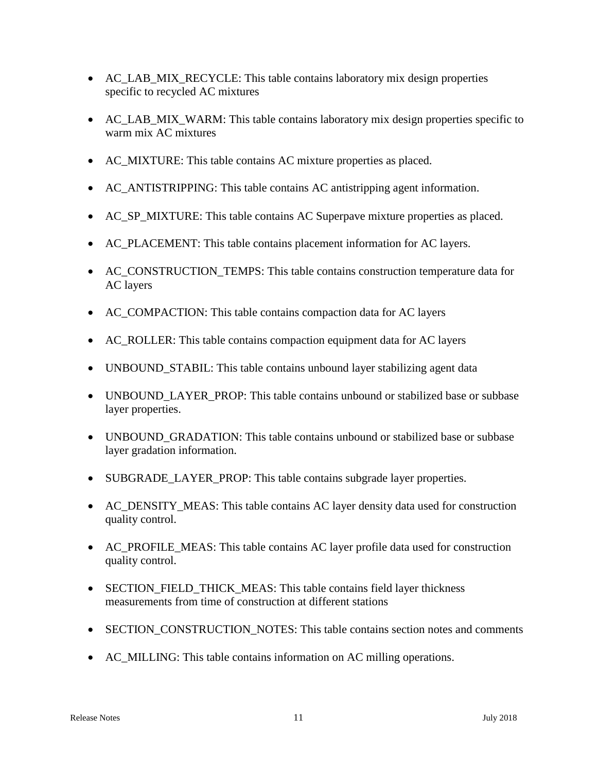- AC\_LAB\_MIX\_RECYCLE: This table contains laboratory mix design properties specific to recycled AC mixtures
- AC\_LAB\_MIX\_WARM: This table contains laboratory mix design properties specific to warm mix AC mixtures
- AC\_MIXTURE: This table contains AC mixture properties as placed.
- AC\_ANTISTRIPPING: This table contains AC antistripping agent information.
- AC\_SP\_MIXTURE: This table contains AC Superpave mixture properties as placed.
- AC\_PLACEMENT: This table contains placement information for AC layers.
- AC\_CONSTRUCTION\_TEMPS: This table contains construction temperature data for AC layers
- AC\_COMPACTION: This table contains compaction data for AC layers
- AC\_ROLLER: This table contains compaction equipment data for AC layers
- UNBOUND\_STABIL: This table contains unbound layer stabilizing agent data
- UNBOUND LAYER PROP: This table contains unbound or stabilized base or subbase layer properties.
- UNBOUND GRADATION: This table contains unbound or stabilized base or subbase layer gradation information.
- SUBGRADE LAYER PROP: This table contains subgrade layer properties.
- AC DENSITY MEAS: This table contains AC layer density data used for construction quality control.
- AC\_PROFILE\_MEAS: This table contains AC layer profile data used for construction quality control.
- SECTION FIELD THICK MEAS: This table contains field layer thickness measurements from time of construction at different stations
- SECTION CONSTRUCTION NOTES: This table contains section notes and comments
- AC\_MILLING: This table contains information on AC milling operations.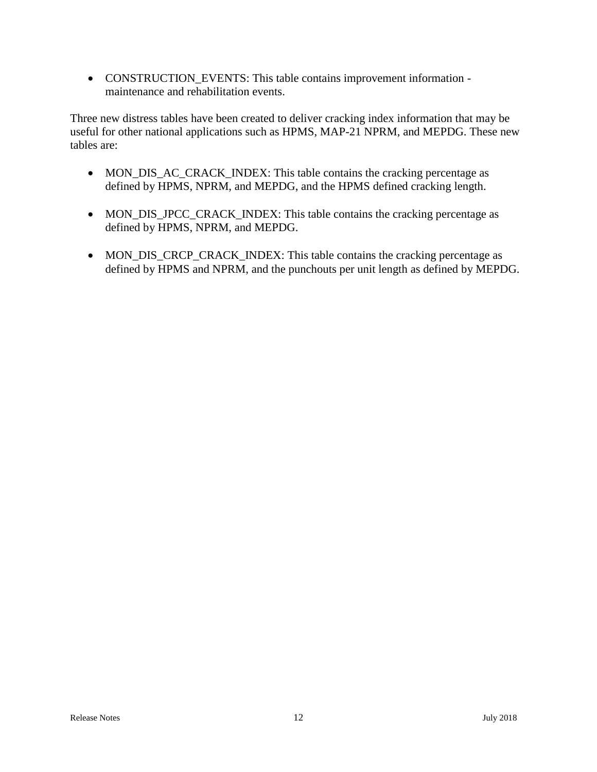• CONSTRUCTION\_EVENTS: This table contains improvement information maintenance and rehabilitation events.

Three new distress tables have been created to deliver cracking index information that may be useful for other national applications such as HPMS, MAP-21 NPRM, and MEPDG. These new tables are:

- MON\_DIS\_AC\_CRACK\_INDEX: This table contains the cracking percentage as defined by HPMS, NPRM, and MEPDG, and the HPMS defined cracking length.
- MON\_DIS\_JPCC\_CRACK\_INDEX: This table contains the cracking percentage as defined by HPMS, NPRM, and MEPDG.
- MON\_DIS\_CRCP\_CRACK\_INDEX: This table contains the cracking percentage as defined by HPMS and NPRM, and the punchouts per unit length as defined by MEPDG.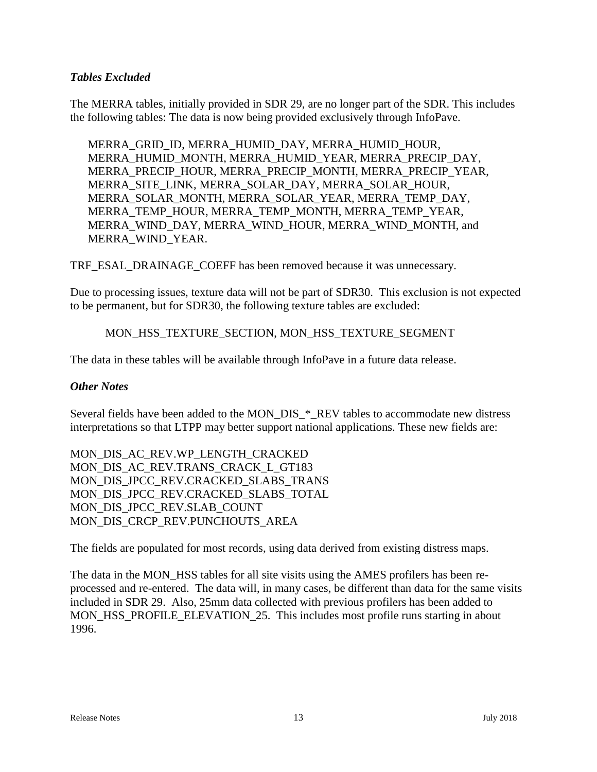### *Tables Excluded*

The MERRA tables, initially provided in SDR 29, are no longer part of the SDR. This includes the following tables: The data is now being provided exclusively through InfoPave.

MERRA\_GRID\_ID, MERRA\_HUMID\_DAY, MERRA\_HUMID\_HOUR, MERRA\_HUMID\_MONTH, MERRA\_HUMID\_YEAR, MERRA\_PRECIP\_DAY, MERRA\_PRECIP\_HOUR, MERRA\_PRECIP\_MONTH, MERRA\_PRECIP\_YEAR, MERRA\_SITE\_LINK, MERRA\_SOLAR\_DAY, MERRA\_SOLAR\_HOUR, MERRA\_SOLAR\_MONTH, MERRA\_SOLAR\_YEAR, MERRA\_TEMP\_DAY, MERRA\_TEMP\_HOUR, MERRA\_TEMP\_MONTH, MERRA\_TEMP\_YEAR, MERRA\_WIND\_DAY, MERRA\_WIND\_HOUR, MERRA\_WIND\_MONTH, and MERRA\_WIND\_YEAR.

TRF\_ESAL\_DRAINAGE\_COEFF has been removed because it was unnecessary.

Due to processing issues, texture data will not be part of SDR30. This exclusion is not expected to be permanent, but for SDR30, the following texture tables are excluded:

### MON\_HSS\_TEXTURE\_SECTION, MON\_HSS\_TEXTURE\_SEGMENT

The data in these tables will be available through InfoPave in a future data release.

#### *Other Notes*

Several fields have been added to the MON\_DIS\_\*\_REV tables to accommodate new distress interpretations so that LTPP may better support national applications. These new fields are:

MON\_DIS\_AC\_REV.WP\_LENGTH\_CRACKED MON\_DIS\_AC\_REV.TRANS\_CRACK\_L\_GT183 MON DIS JPCC REV.CRACKED SLABS TRANS MON DIS JPCC REV.CRACKED SLABS TOTAL MON\_DIS\_JPCC\_REV.SLAB\_COUNT MON DIS CRCP REV.PUNCHOUTS AREA

The fields are populated for most records, using data derived from existing distress maps.

The data in the MON HSS tables for all site visits using the AMES profilers has been reprocessed and re-entered. The data will, in many cases, be different than data for the same visits included in SDR 29. Also, 25mm data collected with previous profilers has been added to MON\_HSS\_PROFILE\_ELEVATION\_25. This includes most profile runs starting in about 1996.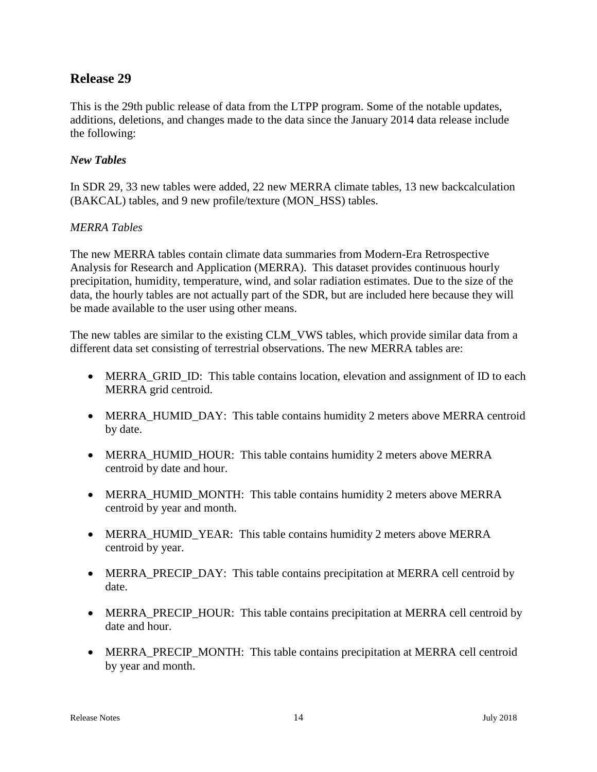# **Release 29**

This is the 29th public release of data from the LTPP program. Some of the notable updates, additions, deletions, and changes made to the data since the January 2014 data release include the following:

### *New Tables*

In SDR 29, 33 new tables were added, 22 new MERRA climate tables, 13 new backcalculation (BAKCAL) tables, and 9 new profile/texture (MON\_HSS) tables.

### *MERRA Tables*

The new MERRA tables contain climate data summaries from Modern-Era Retrospective Analysis for Research and Application (MERRA). This dataset provides continuous hourly precipitation, humidity, temperature, wind, and solar radiation estimates. Due to the size of the data, the hourly tables are not actually part of the SDR, but are included here because they will be made available to the user using other means.

The new tables are similar to the existing CLM\_VWS tables, which provide similar data from a different data set consisting of terrestrial observations. The new MERRA tables are:

- MERRA GRID ID: This table contains location, elevation and assignment of ID to each MERRA grid centroid.
- MERRA\_HUMID\_DAY: This table contains humidity 2 meters above MERRA centroid by date.
- MERRA\_HUMID\_HOUR: This table contains humidity 2 meters above MERRA centroid by date and hour.
- MERRA\_HUMID\_MONTH: This table contains humidity 2 meters above MERRA centroid by year and month.
- MERRA HUMID YEAR: This table contains humidity 2 meters above MERRA centroid by year.
- MERRA\_PRECIP\_DAY: This table contains precipitation at MERRA cell centroid by date.
- MERRA\_PRECIP\_HOUR: This table contains precipitation at MERRA cell centroid by date and hour.
- MERRA\_PRECIP\_MONTH: This table contains precipitation at MERRA cell centroid by year and month.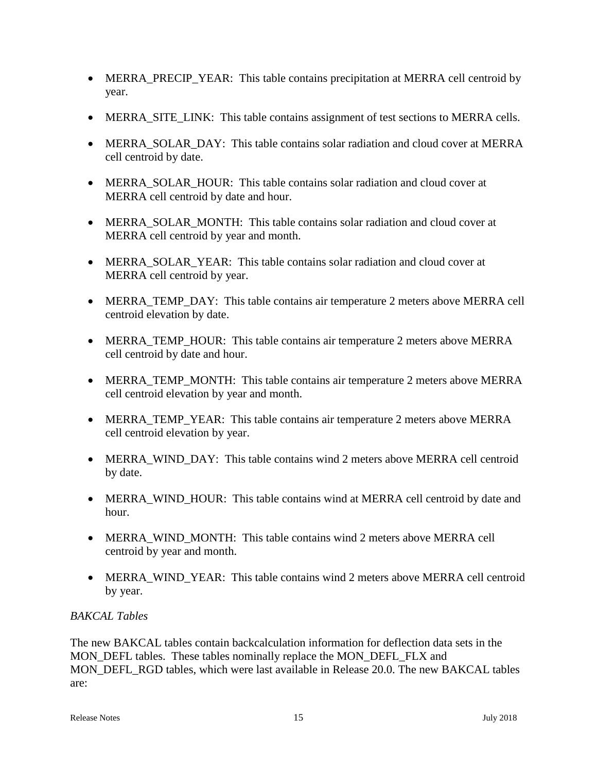- MERRA\_PRECIP\_YEAR: This table contains precipitation at MERRA cell centroid by year.
- MERRA\_SITE\_LINK: This table contains assignment of test sections to MERRA cells.
- MERRA SOLAR DAY: This table contains solar radiation and cloud cover at MERRA cell centroid by date.
- MERRA SOLAR HOUR: This table contains solar radiation and cloud cover at MERRA cell centroid by date and hour.
- MERRA SOLAR MONTH: This table contains solar radiation and cloud cover at MERRA cell centroid by year and month.
- MERRA SOLAR YEAR: This table contains solar radiation and cloud cover at MERRA cell centroid by year.
- MERRA TEMP DAY: This table contains air temperature 2 meters above MERRA cell centroid elevation by date.
- MERRA\_TEMP\_HOUR: This table contains air temperature 2 meters above MERRA cell centroid by date and hour.
- MERRA\_TEMP\_MONTH: This table contains air temperature 2 meters above MERRA cell centroid elevation by year and month.
- MERRA TEMP YEAR: This table contains air temperature 2 meters above MERRA cell centroid elevation by year.
- MERRA WIND DAY: This table contains wind 2 meters above MERRA cell centroid by date.
- MERRA\_WIND\_HOUR: This table contains wind at MERRA cell centroid by date and hour.
- MERRA WIND MONTH: This table contains wind 2 meters above MERRA cell centroid by year and month.
- MERRA WIND YEAR: This table contains wind 2 meters above MERRA cell centroid by year.

### *BAKCAL Tables*

The new BAKCAL tables contain backcalculation information for deflection data sets in the MON\_DEFL tables. These tables nominally replace the MON\_DEFL\_FLX and MON\_DEFL\_RGD tables, which were last available in Release 20.0. The new BAKCAL tables are: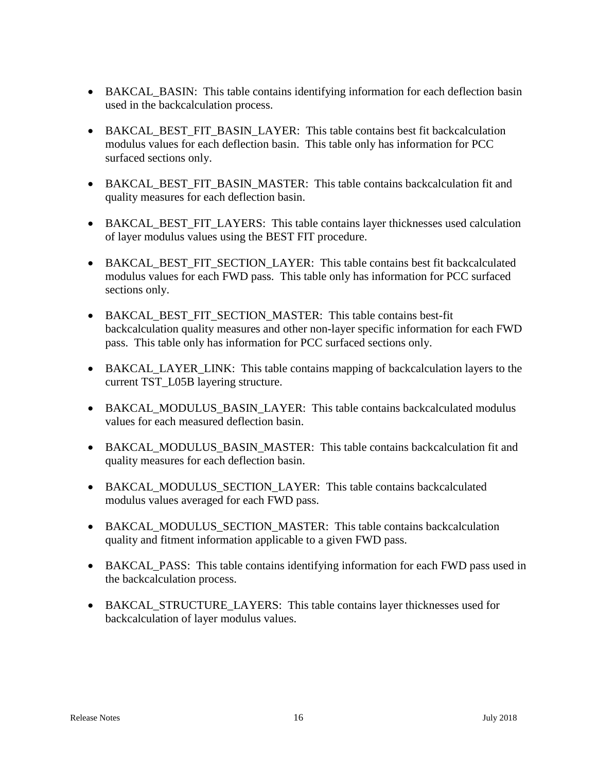- BAKCAL\_BASIN: This table contains identifying information for each deflection basin used in the backcalculation process.
- BAKCAL BEST FIT BASIN LAYER: This table contains best fit backcalculation modulus values for each deflection basin. This table only has information for PCC surfaced sections only.
- BAKCAL\_BEST\_FIT\_BASIN\_MASTER: This table contains backcalculation fit and quality measures for each deflection basin.
- BAKCAL\_BEST\_FIT\_LAYERS: This table contains layer thicknesses used calculation of layer modulus values using the BEST FIT procedure.
- BAKCAL\_BEST\_FIT\_SECTION\_LAYER: This table contains best fit backcalculated modulus values for each FWD pass. This table only has information for PCC surfaced sections only.
- BAKCAL BEST FIT SECTION MASTER: This table contains best-fit backcalculation quality measures and other non-layer specific information for each FWD pass. This table only has information for PCC surfaced sections only.
- BAKCAL\_LAYER\_LINK: This table contains mapping of backcalculation layers to the current TST\_L05B layering structure.
- BAKCAL MODULUS BASIN LAYER: This table contains backcalculated modulus values for each measured deflection basin.
- BAKCAL\_MODULUS\_BASIN\_MASTER: This table contains backcalculation fit and quality measures for each deflection basin.
- BAKCAL MODULUS SECTION LAYER: This table contains backcalculated modulus values averaged for each FWD pass.
- BAKCAL MODULUS SECTION MASTER: This table contains backcalculation quality and fitment information applicable to a given FWD pass.
- BAKCAL PASS: This table contains identifying information for each FWD pass used in the backcalculation process.
- BAKCAL\_STRUCTURE\_LAYERS: This table contains layer thicknesses used for backcalculation of layer modulus values.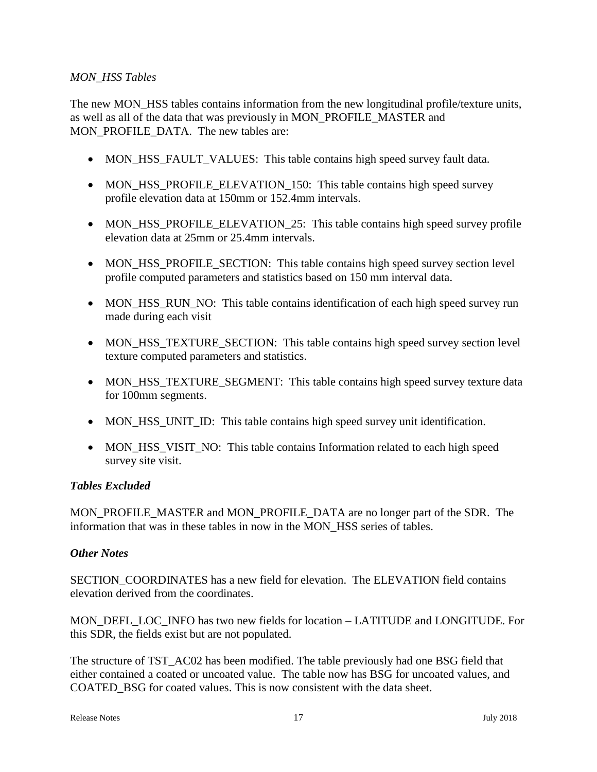### *MON\_HSS Tables*

The new MON\_HSS tables contains information from the new longitudinal profile/texture units, as well as all of the data that was previously in MON\_PROFILE\_MASTER and MON\_PROFILE\_DATA. The new tables are:

- MON\_HSS\_FAULT\_VALUES: This table contains high speed survey fault data.
- MON HSS PROFILE ELEVATION 150: This table contains high speed survey profile elevation data at 150mm or 152.4mm intervals.
- MON\_HSS\_PROFILE\_ELEVATION\_25: This table contains high speed survey profile elevation data at 25mm or 25.4mm intervals.
- MON HSS PROFILE SECTION: This table contains high speed survey section level profile computed parameters and statistics based on 150 mm interval data.
- MON HSS RUN NO: This table contains identification of each high speed survey run made during each visit
- MON\_HSS\_TEXTURE\_SECTION: This table contains high speed survey section level texture computed parameters and statistics.
- MON\_HSS\_TEXTURE\_SEGMENT: This table contains high speed survey texture data for 100mm segments.
- MON HSS UNIT ID: This table contains high speed survey unit identification.
- MON HSS VISIT NO: This table contains Information related to each high speed survey site visit.

### *Tables Excluded*

MON\_PROFILE\_MASTER and MON\_PROFILE\_DATA are no longer part of the SDR. The information that was in these tables in now in the MON\_HSS series of tables.

### *Other Notes*

SECTION\_COORDINATES has a new field for elevation. The ELEVATION field contains elevation derived from the coordinates.

MON\_DEFL\_LOC\_INFO has two new fields for location – LATITUDE and LONGITUDE. For this SDR, the fields exist but are not populated.

The structure of TST\_AC02 has been modified. The table previously had one BSG field that either contained a coated or uncoated value. The table now has BSG for uncoated values, and COATED\_BSG for coated values. This is now consistent with the data sheet.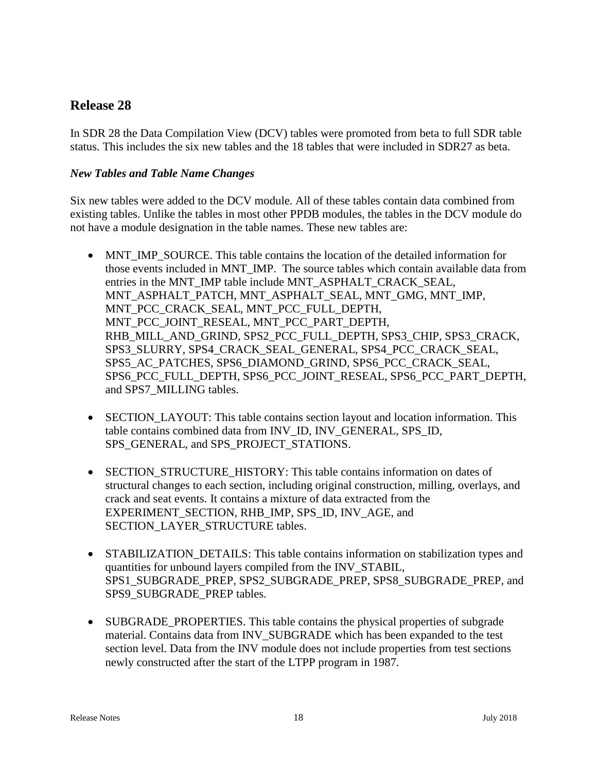# **Release 28**

In SDR 28 the Data Compilation View (DCV) tables were promoted from beta to full SDR table status. This includes the six new tables and the 18 tables that were included in SDR27 as beta.

### *New Tables and Table Name Changes*

Six new tables were added to the DCV module. All of these tables contain data combined from existing tables. Unlike the tables in most other PPDB modules, the tables in the DCV module do not have a module designation in the table names. These new tables are:

- MNT\_IMP\_SOURCE. This table contains the location of the detailed information for those events included in MNT\_IMP. The source tables which contain available data from entries in the MNT\_IMP table include MNT\_ASPHALT\_CRACK\_SEAL, MNT\_ASPHALT\_PATCH, MNT\_ASPHALT\_SEAL, MNT\_GMG, MNT\_IMP, MNT\_PCC\_CRACK\_SEAL, MNT\_PCC\_FULL\_DEPTH, MNT\_PCC\_JOINT\_RESEAL, MNT\_PCC\_PART\_DEPTH, RHB\_MILL\_AND\_GRIND, SPS2\_PCC\_FULL\_DEPTH, SPS3\_CHIP, SPS3\_CRACK, SPS3\_SLURRY, SPS4\_CRACK\_SEAL\_GENERAL, SPS4\_PCC\_CRACK\_SEAL, SPS5\_AC\_PATCHES, SPS6\_DIAMOND\_GRIND, SPS6\_PCC\_CRACK\_SEAL, SPS6\_PCC\_FULL\_DEPTH, SPS6\_PCC\_JOINT\_RESEAL, SPS6\_PCC\_PART\_DEPTH, and SPS7\_MILLING tables.
- SECTION\_LAYOUT: This table contains section layout and location information. This table contains combined data from INV\_ID, INV\_GENERAL, SPS\_ID, SPS\_GENERAL, and SPS\_PROJECT\_STATIONS.
- SECTION STRUCTURE HISTORY: This table contains information on dates of structural changes to each section, including original construction, milling, overlays, and crack and seat events. It contains a mixture of data extracted from the EXPERIMENT\_SECTION, RHB\_IMP, SPS\_ID, INV\_AGE, and SECTION\_LAYER\_STRUCTURE tables.
- STABILIZATION DETAILS: This table contains information on stabilization types and quantities for unbound layers compiled from the INV\_STABIL, SPS1\_SUBGRADE\_PREP, SPS2\_SUBGRADE\_PREP, SPS8\_SUBGRADE\_PREP, and SPS9\_SUBGRADE\_PREP tables.
- SUBGRADE\_PROPERTIES. This table contains the physical properties of subgrade material. Contains data from INV\_SUBGRADE which has been expanded to the test section level. Data from the INV module does not include properties from test sections newly constructed after the start of the LTPP program in 1987.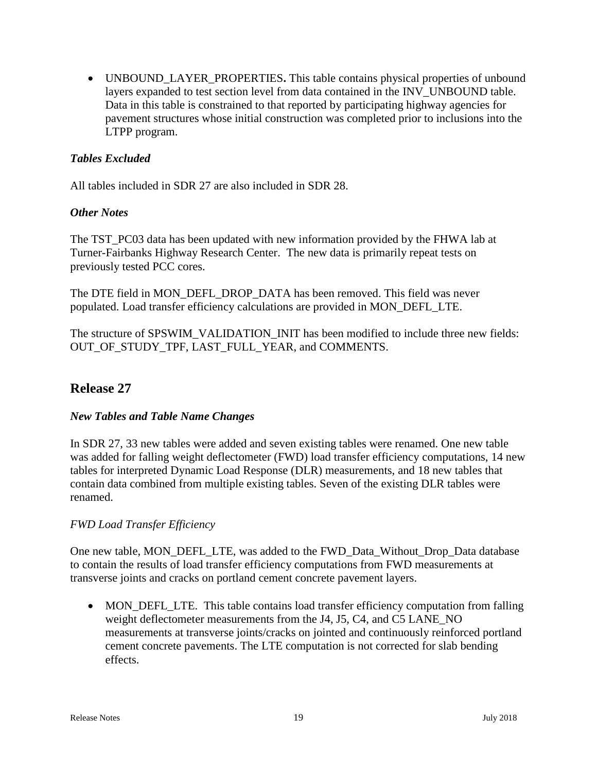• UNBOUND\_LAYER\_PROPERTIES**.** This table contains physical properties of unbound layers expanded to test section level from data contained in the INV\_UNBOUND table. Data in this table is constrained to that reported by participating highway agencies for pavement structures whose initial construction was completed prior to inclusions into the LTPP program.

### *Tables Excluded*

All tables included in SDR 27 are also included in SDR 28.

### *Other Notes*

The TST\_PC03 data has been updated with new information provided by the FHWA lab at Turner-Fairbanks Highway Research Center. The new data is primarily repeat tests on previously tested PCC cores.

The DTE field in MON\_DEFL\_DROP\_DATA has been removed. This field was never populated. Load transfer efficiency calculations are provided in MON\_DEFL\_LTE.

The structure of SPSWIM\_VALIDATION\_INIT has been modified to include three new fields: OUT\_OF\_STUDY\_TPF, LAST\_FULL\_YEAR, and COMMENTS.

# **Release 27**

### *New Tables and Table Name Changes*

In SDR 27, 33 new tables were added and seven existing tables were renamed. One new table was added for falling weight deflectometer (FWD) load transfer efficiency computations, 14 new tables for interpreted Dynamic Load Response (DLR) measurements, and 18 new tables that contain data combined from multiple existing tables. Seven of the existing DLR tables were renamed.

### *FWD Load Transfer Efficiency*

One new table, MON\_DEFL\_LTE, was added to the FWD\_Data\_Without\_Drop\_Data database to contain the results of load transfer efficiency computations from FWD measurements at transverse joints and cracks on portland cement concrete pavement layers.

• MON\_DEFL\_LTE. This table contains load transfer efficiency computation from falling weight deflectometer measurements from the J4, J5, C4, and C5 LANE\_NO measurements at transverse joints/cracks on jointed and continuously reinforced portland cement concrete pavements. The LTE computation is not corrected for slab bending effects.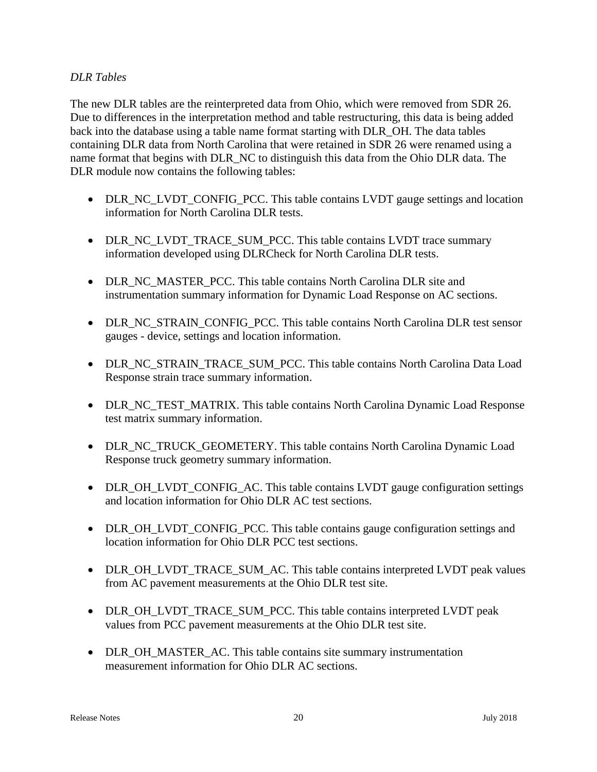### *DLR Tables*

The new DLR tables are the reinterpreted data from Ohio, which were removed from SDR 26. Due to differences in the interpretation method and table restructuring, this data is being added back into the database using a table name format starting with DLR\_OH. The data tables containing DLR data from North Carolina that were retained in SDR 26 were renamed using a name format that begins with DLR\_NC to distinguish this data from the Ohio DLR data. The DLR module now contains the following tables:

- DLR\_NC\_LVDT\_CONFIG\_PCC. This table contains LVDT gauge settings and location information for North Carolina DLR tests.
- DLR\_NC\_LVDT\_TRACE\_SUM\_PCC. This table contains LVDT trace summary information developed using DLRCheck for North Carolina DLR tests.
- DLR\_NC\_MASTER\_PCC. This table contains North Carolina DLR site and instrumentation summary information for Dynamic Load Response on AC sections.
- DLR\_NC\_STRAIN\_CONFIG\_PCC. This table contains North Carolina DLR test sensor gauges - device, settings and location information.
- DLR\_NC\_STRAIN\_TRACE\_SUM\_PCC. This table contains North Carolina Data Load Response strain trace summary information.
- DLR\_NC\_TEST\_MATRIX. This table contains North Carolina Dynamic Load Response test matrix summary information.
- DLR\_NC\_TRUCK\_GEOMETERY. This table contains North Carolina Dynamic Load Response truck geometry summary information.
- DLR\_OH\_LVDT\_CONFIG\_AC. This table contains LVDT gauge configuration settings and location information for Ohio DLR AC test sections.
- DLR\_OH\_LVDT\_CONFIG\_PCC. This table contains gauge configuration settings and location information for Ohio DLR PCC test sections.
- DLR\_OH\_LVDT\_TRACE\_SUM\_AC. This table contains interpreted LVDT peak values from AC pavement measurements at the Ohio DLR test site.
- DLR\_OH\_LVDT\_TRACE\_SUM\_PCC. This table contains interpreted LVDT peak values from PCC pavement measurements at the Ohio DLR test site.
- DLR\_OH\_MASTER\_AC. This table contains site summary instrumentation measurement information for Ohio DLR AC sections.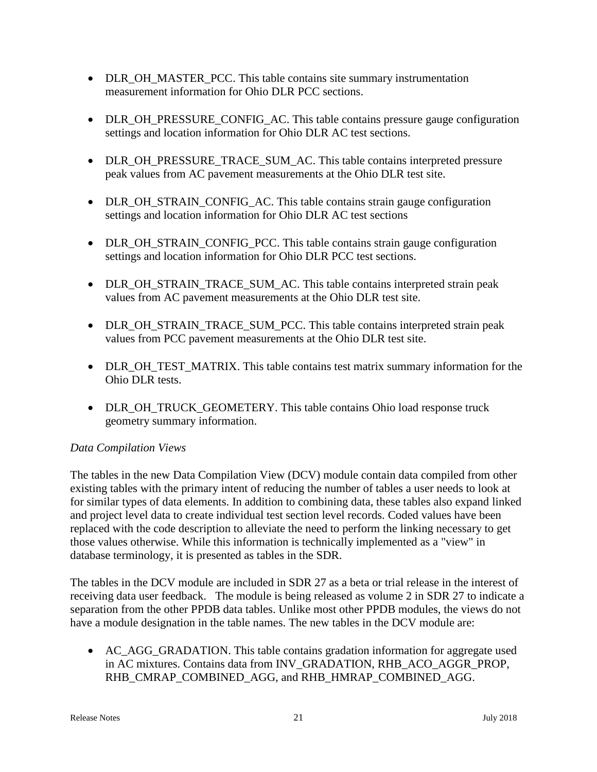- DLR OH\_MASTER\_PCC. This table contains site summary instrumentation measurement information for Ohio DLR PCC sections.
- DLR\_OH\_PRESSURE\_CONFIG\_AC. This table contains pressure gauge configuration settings and location information for Ohio DLR AC test sections.
- DLR\_OH\_PRESSURE\_TRACE\_SUM\_AC. This table contains interpreted pressure peak values from AC pavement measurements at the Ohio DLR test site.
- DLR\_OH\_STRAIN\_CONFIG\_AC. This table contains strain gauge configuration settings and location information for Ohio DLR AC test sections
- DLR\_OH\_STRAIN\_CONFIG\_PCC. This table contains strain gauge configuration settings and location information for Ohio DLR PCC test sections.
- DLR\_OH\_STRAIN\_TRACE\_SUM\_AC. This table contains interpreted strain peak values from AC pavement measurements at the Ohio DLR test site.
- DLR\_OH\_STRAIN\_TRACE\_SUM\_PCC. This table contains interpreted strain peak values from PCC pavement measurements at the Ohio DLR test site.
- DLR\_OH\_TEST\_MATRIX. This table contains test matrix summary information for the Ohio DLR tests.
- DLR\_OH\_TRUCK\_GEOMETERY. This table contains Ohio load response truck geometry summary information.

### *Data Compilation Views*

The tables in the new Data Compilation View (DCV) module contain data compiled from other existing tables with the primary intent of reducing the number of tables a user needs to look at for similar types of data elements. In addition to combining data, these tables also expand linked and project level data to create individual test section level records. Coded values have been replaced with the code description to alleviate the need to perform the linking necessary to get those values otherwise. While this information is technically implemented as a "view" in database terminology, it is presented as tables in the SDR.

The tables in the DCV module are included in SDR 27 as a beta or trial release in the interest of receiving data user feedback. The module is being released as volume 2 in SDR 27 to indicate a separation from the other PPDB data tables. Unlike most other PPDB modules, the views do not have a module designation in the table names. The new tables in the DCV module are:

• AC\_AGG\_GRADATION. This table contains gradation information for aggregate used in AC mixtures. Contains data from INV\_GRADATION, RHB\_ACO\_AGGR\_PROP, RHB\_CMRAP\_COMBINED\_AGG, and RHB\_HMRAP\_COMBINED\_AGG.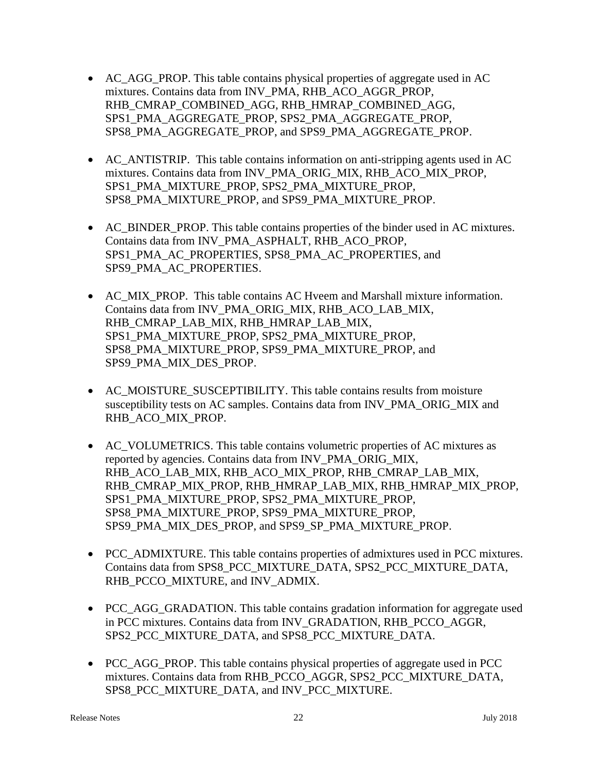- AC\_AGG\_PROP. This table contains physical properties of aggregate used in AC mixtures. Contains data from INV\_PMA, RHB\_ACO\_AGGR\_PROP, RHB\_CMRAP\_COMBINED\_AGG, RHB\_HMRAP\_COMBINED\_AGG, SPS1\_PMA\_AGGREGATE\_PROP, SPS2\_PMA\_AGGREGATE\_PROP, SPS8\_PMA\_AGGREGATE\_PROP, and SPS9\_PMA\_AGGREGATE\_PROP.
- AC\_ANTISTRIP. This table contains information on anti-stripping agents used in AC mixtures. Contains data from INV\_PMA\_ORIG\_MIX, RHB\_ACO\_MIX\_PROP, SPS1\_PMA\_MIXTURE\_PROP, SPS2\_PMA\_MIXTURE\_PROP, SPS8\_PMA\_MIXTURE\_PROP, and SPS9\_PMA\_MIXTURE\_PROP.
- AC\_BINDER\_PROP. This table contains properties of the binder used in AC mixtures. Contains data from INV\_PMA\_ASPHALT, RHB\_ACO\_PROP, SPS1\_PMA\_AC\_PROPERTIES, SPS8\_PMA\_AC\_PROPERTIES, and SPS9\_PMA\_AC\_PROPERTIES.
- AC\_MIX\_PROP. This table contains AC Hveem and Marshall mixture information. Contains data from INV\_PMA\_ORIG\_MIX, RHB\_ACO\_LAB\_MIX, RHB\_CMRAP\_LAB\_MIX, RHB\_HMRAP\_LAB\_MIX, SPS1\_PMA\_MIXTURE\_PROP, SPS2\_PMA\_MIXTURE\_PROP, SPS8\_PMA\_MIXTURE\_PROP, SPS9\_PMA\_MIXTURE\_PROP, and SPS9\_PMA\_MIX\_DES\_PROP.
- AC\_MOISTURE\_SUSCEPTIBILITY. This table contains results from moisture susceptibility tests on AC samples. Contains data from INV\_PMA\_ORIG\_MIX and RHB\_ACO\_MIX\_PROP.
- AC\_VOLUMETRICS. This table contains volumetric properties of AC mixtures as reported by agencies. Contains data from INV\_PMA\_ORIG\_MIX, RHB\_ACO\_LAB\_MIX, RHB\_ACO\_MIX\_PROP, RHB\_CMRAP\_LAB\_MIX, RHB\_CMRAP\_MIX\_PROP, RHB\_HMRAP\_LAB\_MIX, RHB\_HMRAP\_MIX\_PROP, SPS1\_PMA\_MIXTURE\_PROP, SPS2\_PMA\_MIXTURE\_PROP, SPS8\_PMA\_MIXTURE\_PROP, SPS9\_PMA\_MIXTURE\_PROP, SPS9\_PMA\_MIX\_DES\_PROP, and SPS9\_SP\_PMA\_MIXTURE\_PROP.
- PCC\_ADMIXTURE. This table contains properties of admixtures used in PCC mixtures. Contains data from SPS8\_PCC\_MIXTURE\_DATA, SPS2\_PCC\_MIXTURE\_DATA, RHB\_PCCO\_MIXTURE, and INV\_ADMIX.
- PCC\_AGG\_GRADATION. This table contains gradation information for aggregate used in PCC mixtures. Contains data from INV\_GRADATION, RHB\_PCCO\_AGGR, SPS2\_PCC\_MIXTURE\_DATA, and SPS8\_PCC\_MIXTURE\_DATA.
- PCC AGG PROP. This table contains physical properties of aggregate used in PCC mixtures. Contains data from RHB\_PCCO\_AGGR, SPS2\_PCC\_MIXTURE\_DATA, SPS8\_PCC\_MIXTURE\_DATA, and INV\_PCC\_MIXTURE.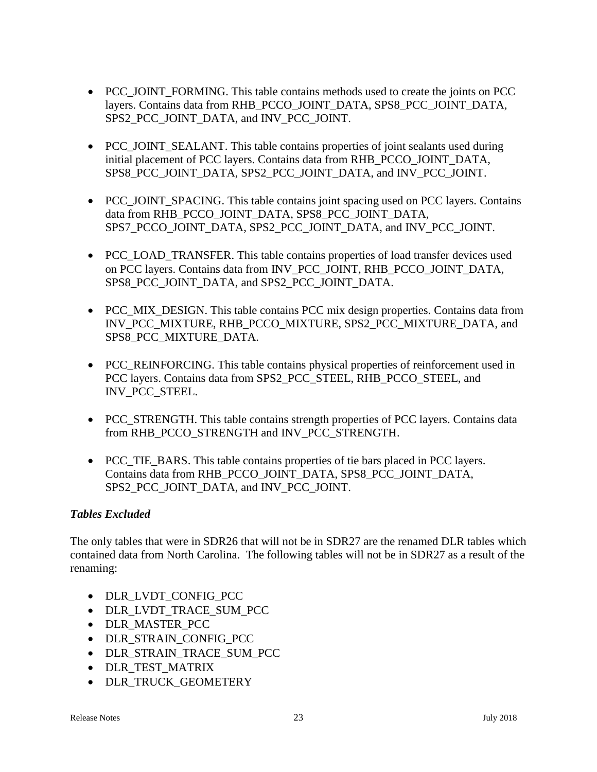- PCC\_JOINT\_FORMING. This table contains methods used to create the joints on PCC layers. Contains data from RHB\_PCCO\_JOINT\_DATA, SPS8\_PCC\_JOINT\_DATA, SPS2\_PCC\_JOINT\_DATA, and INV\_PCC\_JOINT.
- PCC JOINT SEALANT. This table contains properties of joint sealants used during initial placement of PCC layers. Contains data from RHB\_PCCO\_JOINT\_DATA, SPS8\_PCC\_JOINT\_DATA, SPS2\_PCC\_JOINT\_DATA, and INV\_PCC\_JOINT.
- PCC JOINT SPACING. This table contains joint spacing used on PCC layers. Contains data from RHB\_PCCO\_JOINT\_DATA, SPS8\_PCC\_JOINT\_DATA, SPS7\_PCCO\_JOINT\_DATA, SPS2\_PCC\_JOINT\_DATA, and INV\_PCC\_JOINT.
- PCC\_LOAD\_TRANSFER. This table contains properties of load transfer devices used on PCC layers. Contains data from INV\_PCC\_JOINT, RHB\_PCCO\_JOINT\_DATA, SPS8\_PCC\_JOINT\_DATA, and SPS2\_PCC\_JOINT\_DATA.
- PCC\_MIX\_DESIGN. This table contains PCC mix design properties. Contains data from INV\_PCC\_MIXTURE, RHB\_PCCO\_MIXTURE, SPS2\_PCC\_MIXTURE\_DATA, and SPS8\_PCC\_MIXTURE\_DATA.
- PCC\_REINFORCING. This table contains physical properties of reinforcement used in PCC layers. Contains data from SPS2\_PCC\_STEEL, RHB\_PCCO\_STEEL, and INV\_PCC\_STEEL.
- PCC\_STRENGTH. This table contains strength properties of PCC layers. Contains data from RHB\_PCCO\_STRENGTH and INV\_PCC\_STRENGTH.
- PCC\_TIE\_BARS. This table contains properties of tie bars placed in PCC layers. Contains data from RHB\_PCCO\_JOINT\_DATA, SPS8\_PCC\_JOINT\_DATA, SPS2\_PCC\_JOINT\_DATA, and INV\_PCC\_JOINT.

### *Tables Excluded*

The only tables that were in SDR26 that will not be in SDR27 are the renamed DLR tables which contained data from North Carolina. The following tables will not be in SDR27 as a result of the renaming:

- DLR\_LVDT\_CONFIG\_PCC
- DLR\_LVDT\_TRACE\_SUM\_PCC
- DLR\_MASTER\_PCC
- DLR\_STRAIN\_CONFIG\_PCC
- DLR\_STRAIN\_TRACE\_SUM\_PCC
- DLR TEST MATRIX
- DLR\_TRUCK\_GEOMETERY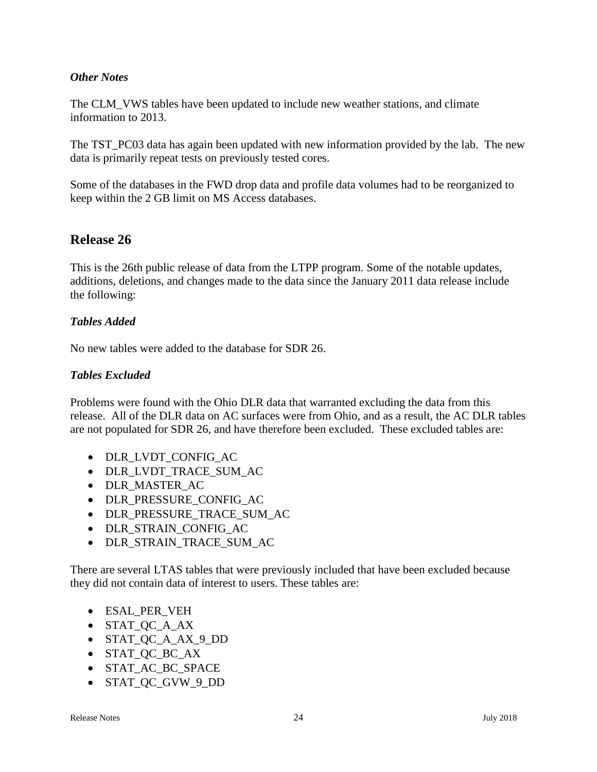### *Other Notes*

The CLM\_VWS tables have been updated to include new weather stations, and climate information to 2013.

The TST\_PC03 data has again been updated with new information provided by the lab. The new data is primarily repeat tests on previously tested cores.

Some of the databases in the FWD drop data and profile data volumes had to be reorganized to keep within the 2 GB limit on MS Access databases.

# **Release 26**

This is the 26th public release of data from the LTPP program. Some of the notable updates, additions, deletions, and changes made to the data since the January 2011 data release include the following:

### *Tables Added*

No new tables were added to the database for SDR 26.

### *Tables Excluded*

Problems were found with the Ohio DLR data that warranted excluding the data from this release. All of the DLR data on AC surfaces were from Ohio, and as a result, the AC DLR tables are not populated for SDR 26, and have therefore been excluded. These excluded tables are:

- DLR\_LVDT\_CONFIG\_AC
- DLR\_LVDT\_TRACE\_SUM\_AC
- DLR\_MASTER\_AC
- DLR\_PRESSURE\_CONFIG\_AC
- DLR\_PRESSURE\_TRACE\_SUM\_AC
- DLR\_STRAIN\_CONFIG\_AC
- DLR\_STRAIN\_TRACE\_SUM\_AC

There are several LTAS tables that were previously included that have been excluded because they did not contain data of interest to users. These tables are:

- ESAL\_PER\_VEH
- STAT OC A AX
- STAT QC A AX 9 DD
- STAT\_QC\_BC\_AX
- STAT AC BC SPACE
- STAT\_QC\_GVW\_9\_DD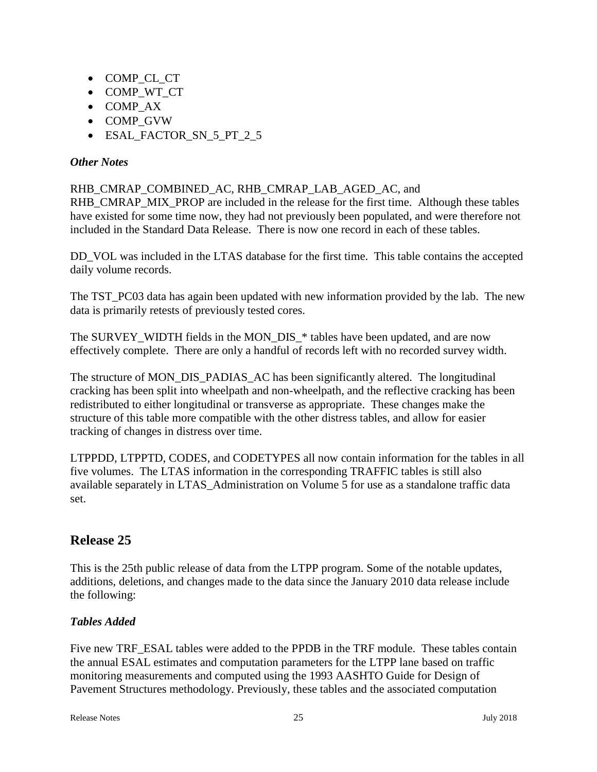- COMP\_CL\_CT
- COMP\_WT\_CT
- COMP\_AX
- COMP\_GVW
- ESAL FACTOR SN 5 PT 2 5

### *Other Notes*

### RHB\_CMRAP\_COMBINED\_AC, RHB\_CMRAP\_LAB\_AGED\_AC, and

RHB\_CMRAP\_MIX\_PROP are included in the release for the first time. Although these tables have existed for some time now, they had not previously been populated, and were therefore not included in the Standard Data Release. There is now one record in each of these tables.

DD\_VOL was included in the LTAS database for the first time. This table contains the accepted daily volume records.

The TST\_PC03 data has again been updated with new information provided by the lab. The new data is primarily retests of previously tested cores.

The SURVEY\_WIDTH fields in the MON\_DIS\_\* tables have been updated, and are now effectively complete. There are only a handful of records left with no recorded survey width.

The structure of MON\_DIS\_PADIAS\_AC has been significantly altered. The longitudinal cracking has been split into wheelpath and non-wheelpath, and the reflective cracking has been redistributed to either longitudinal or transverse as appropriate. These changes make the structure of this table more compatible with the other distress tables, and allow for easier tracking of changes in distress over time.

LTPPDD, LTPPTD, CODES, and CODETYPES all now contain information for the tables in all five volumes. The LTAS information in the corresponding TRAFFIC tables is still also available separately in LTAS\_Administration on Volume 5 for use as a standalone traffic data set.

# **Release 25**

This is the 25th public release of data from the LTPP program. Some of the notable updates, additions, deletions, and changes made to the data since the January 2010 data release include the following:

### *Tables Added*

Five new TRF\_ESAL tables were added to the PPDB in the TRF module. These tables contain the annual ESAL estimates and computation parameters for the LTPP lane based on traffic monitoring measurements and computed using the 1993 AASHTO Guide for Design of Pavement Structures methodology. Previously, these tables and the associated computation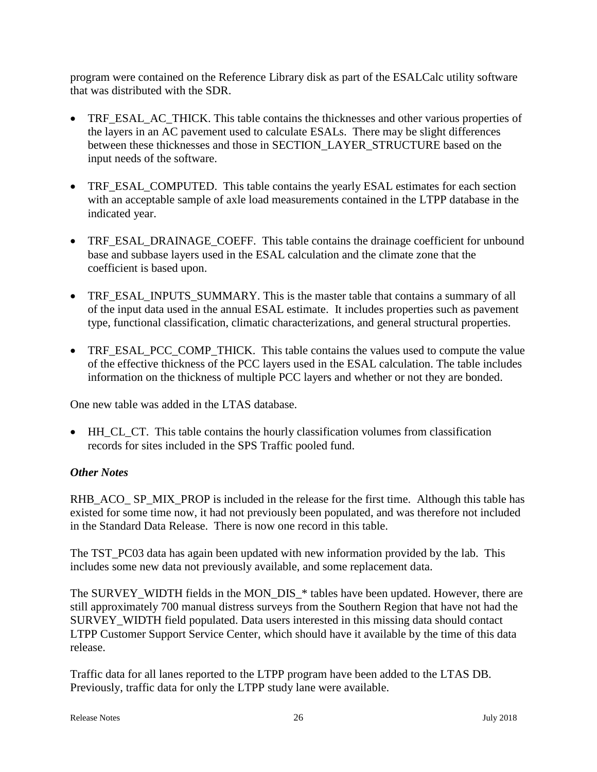program were contained on the Reference Library disk as part of the ESALCalc utility software that was distributed with the SDR.

- TRF\_ESAL\_AC\_THICK. This table contains the thicknesses and other various properties of the layers in an AC pavement used to calculate ESALs. There may be slight differences between these thicknesses and those in SECTION\_LAYER\_STRUCTURE based on the input needs of the software.
- TRF\_ESAL\_COMPUTED. This table contains the yearly ESAL estimates for each section with an acceptable sample of axle load measurements contained in the LTPP database in the indicated year.
- TRF\_ESAL\_DRAINAGE\_COEFF. This table contains the drainage coefficient for unbound base and subbase layers used in the ESAL calculation and the climate zone that the coefficient is based upon.
- TRF\_ESAL\_INPUTS\_SUMMARY. This is the master table that contains a summary of all of the input data used in the annual ESAL estimate. It includes properties such as pavement type, functional classification, climatic characterizations, and general structural properties.
- TRF\_ESAL\_PCC\_COMP\_THICK. This table contains the values used to compute the value of the effective thickness of the PCC layers used in the ESAL calculation. The table includes information on the thickness of multiple PCC layers and whether or not they are bonded.

One new table was added in the LTAS database.

• HH\_CL\_CT. This table contains the hourly classification volumes from classification records for sites included in the SPS Traffic pooled fund.

### *Other Notes*

RHB\_ACO\_ SP\_MIX\_PROP is included in the release for the first time. Although this table has existed for some time now, it had not previously been populated, and was therefore not included in the Standard Data Release. There is now one record in this table.

The TST PC03 data has again been updated with new information provided by the lab. This includes some new data not previously available, and some replacement data.

The SURVEY WIDTH fields in the MON DIS \* tables have been updated. However, there are still approximately 700 manual distress surveys from the Southern Region that have not had the SURVEY\_WIDTH field populated. Data users interested in this missing data should contact LTPP Customer Support Service Center, which should have it available by the time of this data release.

Traffic data for all lanes reported to the LTPP program have been added to the LTAS DB. Previously, traffic data for only the LTPP study lane were available.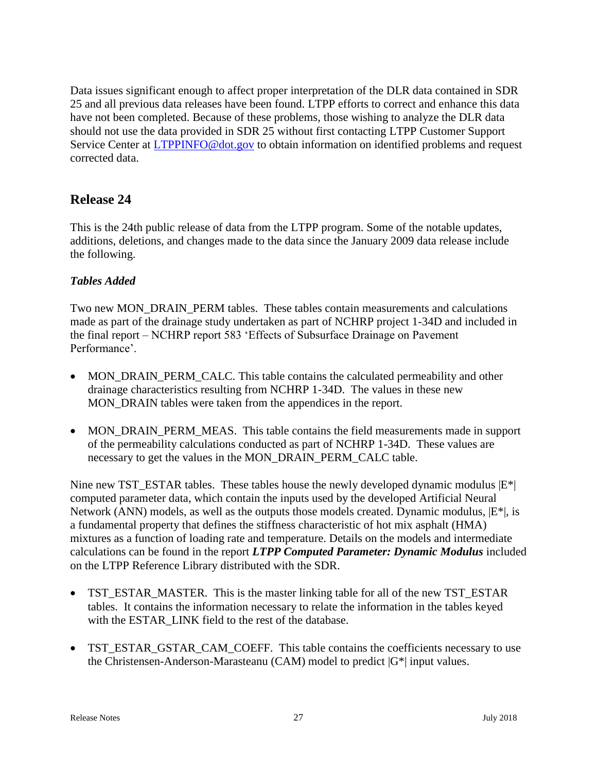Data issues significant enough to affect proper interpretation of the DLR data contained in SDR 25 and all previous data releases have been found. LTPP efforts to correct and enhance this data have not been completed. Because of these problems, those wishing to analyze the DLR data should not use the data provided in SDR 25 without first contacting LTPP Customer Support Service Center at **LTPPINFO@dot.gov** to obtain information on identified problems and request corrected data.

# **Release 24**

This is the 24th public release of data from the LTPP program. Some of the notable updates, additions, deletions, and changes made to the data since the January 2009 data release include the following.

### *Tables Added*

Two new MON\_DRAIN\_PERM tables. These tables contain measurements and calculations made as part of the drainage study undertaken as part of NCHRP project 1-34D and included in the final report – NCHRP report 583 'Effects of Subsurface Drainage on Pavement Performance'.

- MON DRAIN PERM CALC. This table contains the calculated permeability and other drainage characteristics resulting from NCHRP 1-34D. The values in these new MON\_DRAIN tables were taken from the appendices in the report.
- MON\_DRAIN\_PERM\_MEAS. This table contains the field measurements made in support of the permeability calculations conducted as part of NCHRP 1-34D. These values are necessary to get the values in the MON\_DRAIN\_PERM\_CALC table.

Nine new TST\_ESTAR tables. These tables house the newly developed dynamic modulus  $|E^*|$ computed parameter data, which contain the inputs used by the developed Artificial Neural Network (ANN) models, as well as the outputs those models created. Dynamic modulus,  $|E^*|$ , is a fundamental property that defines the stiffness characteristic of hot mix asphalt (HMA) mixtures as a function of loading rate and temperature. Details on the models and intermediate calculations can be found in the report *LTPP Computed Parameter: Dynamic Modulus* included on the LTPP Reference Library distributed with the SDR.

- TST\_ESTAR\_MASTER. This is the master linking table for all of the new TST\_ESTAR tables. It contains the information necessary to relate the information in the tables keyed with the ESTAR LINK field to the rest of the database.
- TST\_ESTAR\_GSTAR\_CAM\_COEFF. This table contains the coefficients necessary to use the Christensen-Anderson-Marasteanu (CAM) model to predict  $|G^*|$  input values.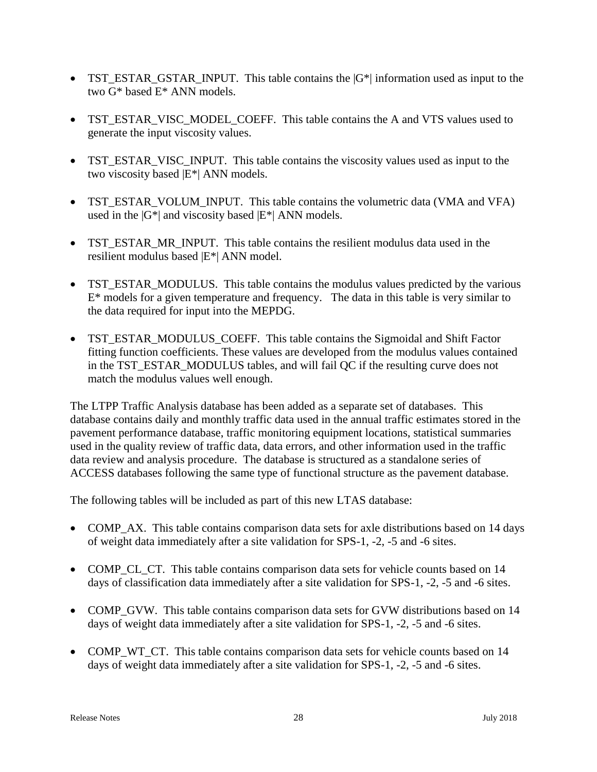- TST\_ESTAR\_GSTAR\_INPUT. This table contains the  $|G^*|$  information used as input to the two G\* based E\* ANN models.
- TST\_ESTAR\_VISC\_MODEL\_COEFF. This table contains the A and VTS values used to generate the input viscosity values.
- TST\_ESTAR\_VISC\_INPUT. This table contains the viscosity values used as input to the two viscosity based |E\*| ANN models.
- TST\_ESTAR\_VOLUM\_INPUT. This table contains the volumetric data (VMA and VFA) used in the  $|G^*|$  and viscosity based  $|E^*|$  ANN models.
- TST\_ESTAR\_MR\_INPUT. This table contains the resilient modulus data used in the resilient modulus based |E\*| ANN model.
- TST\_ESTAR\_MODULUS. This table contains the modulus values predicted by the various  $E^*$  models for a given temperature and frequency. The data in this table is very similar to the data required for input into the MEPDG.
- TST\_ESTAR\_MODULUS\_COEFF. This table contains the Sigmoidal and Shift Factor fitting function coefficients. These values are developed from the modulus values contained in the TST\_ESTAR\_MODULUS tables, and will fail OC if the resulting curve does not match the modulus values well enough.

The LTPP Traffic Analysis database has been added as a separate set of databases. This database contains daily and monthly traffic data used in the annual traffic estimates stored in the pavement performance database, traffic monitoring equipment locations, statistical summaries used in the quality review of traffic data, data errors, and other information used in the traffic data review and analysis procedure. The database is structured as a standalone series of ACCESS databases following the same type of functional structure as the pavement database.

The following tables will be included as part of this new LTAS database:

- COMP AX. This table contains comparison data sets for axle distributions based on 14 days of weight data immediately after a site validation for SPS-1, -2, -5 and -6 sites.
- COMP\_CL\_CT. This table contains comparison data sets for vehicle counts based on 14 days of classification data immediately after a site validation for SPS-1, -2, -5 and -6 sites.
- COMP\_GVW. This table contains comparison data sets for GVW distributions based on 14 days of weight data immediately after a site validation for SPS-1, -2, -5 and -6 sites.
- COMP\_WT\_CT. This table contains comparison data sets for vehicle counts based on 14 days of weight data immediately after a site validation for SPS-1, -2, -5 and -6 sites.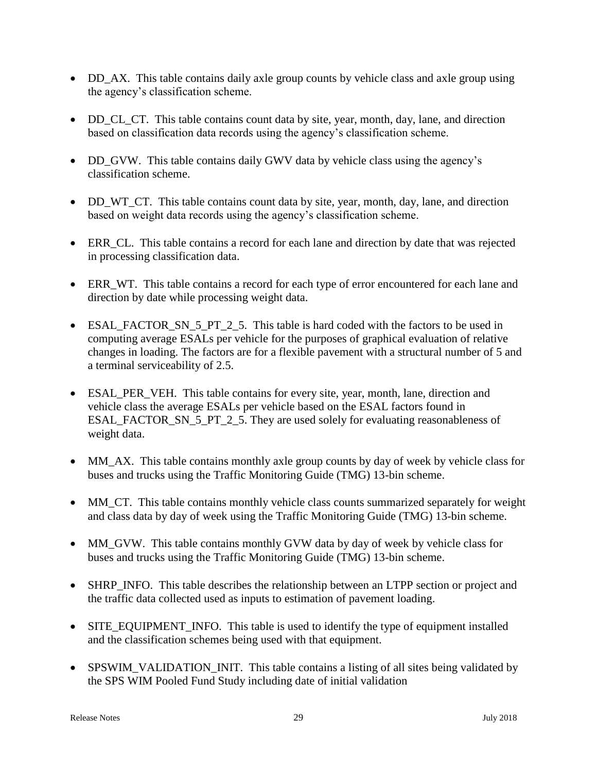- DD\_AX. This table contains daily axle group counts by vehicle class and axle group using the agency's classification scheme.
- DD CL CT. This table contains count data by site, year, month, day, lane, and direction based on classification data records using the agency's classification scheme.
- DD\_GVW. This table contains daily GWV data by vehicle class using the agency's classification scheme.
- DD\_WT\_CT. This table contains count data by site, year, month, day, lane, and direction based on weight data records using the agency's classification scheme.
- ERR CL. This table contains a record for each lane and direction by date that was rejected in processing classification data.
- ERR\_WT. This table contains a record for each type of error encountered for each lane and direction by date while processing weight data.
- ESAL\_FACTOR\_SN\_5\_PT\_2\_5. This table is hard coded with the factors to be used in computing average ESALs per vehicle for the purposes of graphical evaluation of relative changes in loading. The factors are for a flexible pavement with a structural number of 5 and a terminal serviceability of 2.5.
- ESAL PER VEH. This table contains for every site, year, month, lane, direction and vehicle class the average ESALs per vehicle based on the ESAL factors found in ESAL\_FACTOR\_SN\_5\_PT\_2\_5. They are used solely for evaluating reasonableness of weight data.
- MM\_AX. This table contains monthly axle group counts by day of week by vehicle class for buses and trucks using the Traffic Monitoring Guide (TMG) 13-bin scheme.
- MM\_CT. This table contains monthly vehicle class counts summarized separately for weight and class data by day of week using the Traffic Monitoring Guide (TMG) 13-bin scheme.
- MM\_GVW. This table contains monthly GVW data by day of week by vehicle class for buses and trucks using the Traffic Monitoring Guide (TMG) 13-bin scheme.
- SHRP\_INFO. This table describes the relationship between an LTPP section or project and the traffic data collected used as inputs to estimation of pavement loading.
- SITE\_EQUIPMENT\_INFO. This table is used to identify the type of equipment installed and the classification schemes being used with that equipment.
- SPSWIM\_VALIDATION\_INIT. This table contains a listing of all sites being validated by the SPS WIM Pooled Fund Study including date of initial validation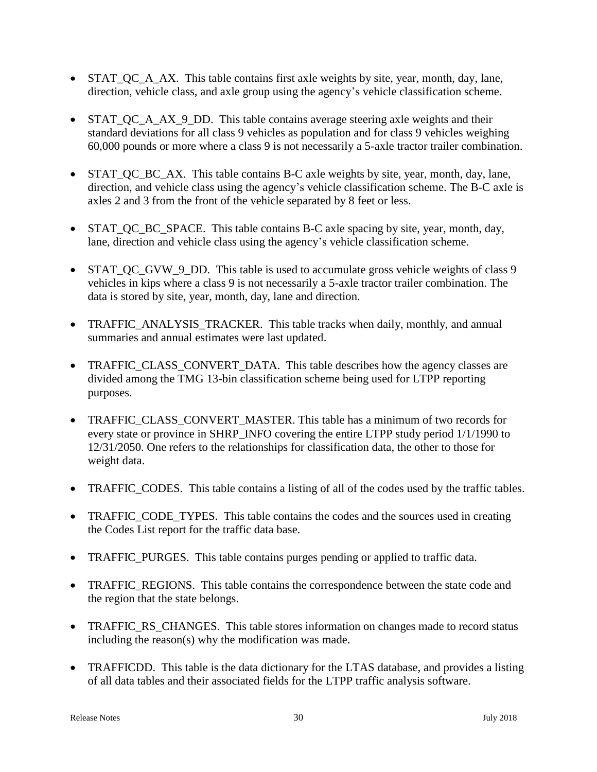- STAT QC A AX. This table contains first axle weights by site, year, month, day, lane, direction, vehicle class, and axle group using the agency's vehicle classification scheme.
- STAT OC A AX 9 DD. This table contains average steering axle weights and their standard deviations for all class 9 vehicles as population and for class 9 vehicles weighing 60,000 pounds or more where a class 9 is not necessarily a 5-axle tractor trailer combination.
- STAT QC BC AX. This table contains B-C axle weights by site, year, month, day, lane, direction, and vehicle class using the agency's vehicle classification scheme. The B-C axle is axles 2 and 3 from the front of the vehicle separated by 8 feet or less.
- STAT QC BC SPACE. This table contains B-C axle spacing by site, year, month, day, lane, direction and vehicle class using the agency's vehicle classification scheme.
- STAT OC GVW 9 DD. This table is used to accumulate gross vehicle weights of class 9 vehicles in kips where a class 9 is not necessarily a 5-axle tractor trailer combination. The data is stored by site, year, month, day, lane and direction.
- TRAFFIC ANALYSIS TRACKER. This table tracks when daily, monthly, and annual summaries and annual estimates were last updated.
- TRAFFIC\_CLASS\_CONVERT\_DATA. This table describes how the agency classes are divided among the TMG 13-bin classification scheme being used for LTPP reporting purposes.
- TRAFFIC CLASS CONVERT MASTER. This table has a minimum of two records for every state or province in SHRP\_INFO covering the entire LTPP study period 1/1/1990 to 12/31/2050. One refers to the relationships for classification data, the other to those for weight data.
- TRAFFIC CODES. This table contains a listing of all of the codes used by the traffic tables.
- TRAFFIC CODE TYPES. This table contains the codes and the sources used in creating the Codes List report for the traffic data base.
- TRAFFIC\_PURGES. This table contains purges pending or applied to traffic data.
- TRAFFIC\_REGIONS. This table contains the correspondence between the state code and the region that the state belongs.
- TRAFFIC\_RS\_CHANGES. This table stores information on changes made to record status including the reason(s) why the modification was made.
- TRAFFICDD. This table is the data dictionary for the LTAS database, and provides a listing of all data tables and their associated fields for the LTPP traffic analysis software.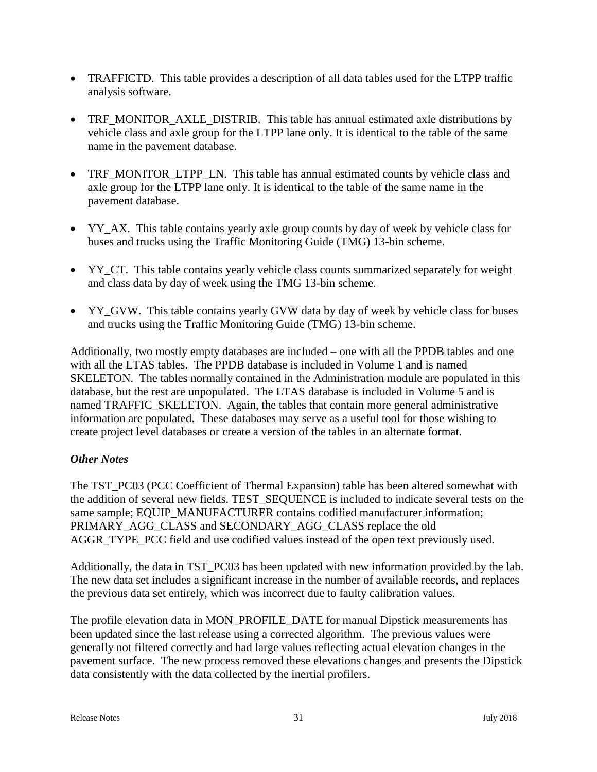- TRAFFICTD. This table provides a description of all data tables used for the LTPP traffic analysis software.
- TRF\_MONITOR\_AXLE\_DISTRIB. This table has annual estimated axle distributions by vehicle class and axle group for the LTPP lane only. It is identical to the table of the same name in the pavement database.
- TRF\_MONITOR\_LTPP\_LN. This table has annual estimated counts by vehicle class and axle group for the LTPP lane only. It is identical to the table of the same name in the pavement database.
- YY\_AX. This table contains yearly axle group counts by day of week by vehicle class for buses and trucks using the Traffic Monitoring Guide (TMG) 13-bin scheme.
- YY\_CT. This table contains yearly vehicle class counts summarized separately for weight and class data by day of week using the TMG 13-bin scheme.
- YY\_GVW. This table contains yearly GVW data by day of week by vehicle class for buses and trucks using the Traffic Monitoring Guide (TMG) 13-bin scheme.

Additionally, two mostly empty databases are included – one with all the PPDB tables and one with all the LTAS tables. The PPDB database is included in Volume 1 and is named SKELETON. The tables normally contained in the Administration module are populated in this database, but the rest are unpopulated. The LTAS database is included in Volume 5 and is named TRAFFIC\_SKELETON. Again, the tables that contain more general administrative information are populated. These databases may serve as a useful tool for those wishing to create project level databases or create a version of the tables in an alternate format.

### *Other Notes*

The TST PC03 (PCC Coefficient of Thermal Expansion) table has been altered somewhat with the addition of several new fields. TEST\_SEQUENCE is included to indicate several tests on the same sample; EQUIP\_MANUFACTURER contains codified manufacturer information; PRIMARY\_AGG\_CLASS and SECONDARY\_AGG\_CLASS replace the old AGGR\_TYPE\_PCC field and use codified values instead of the open text previously used.

Additionally, the data in TST\_PC03 has been updated with new information provided by the lab. The new data set includes a significant increase in the number of available records, and replaces the previous data set entirely, which was incorrect due to faulty calibration values.

The profile elevation data in MON\_PROFILE\_DATE for manual Dipstick measurements has been updated since the last release using a corrected algorithm. The previous values were generally not filtered correctly and had large values reflecting actual elevation changes in the pavement surface. The new process removed these elevations changes and presents the Dipstick data consistently with the data collected by the inertial profilers.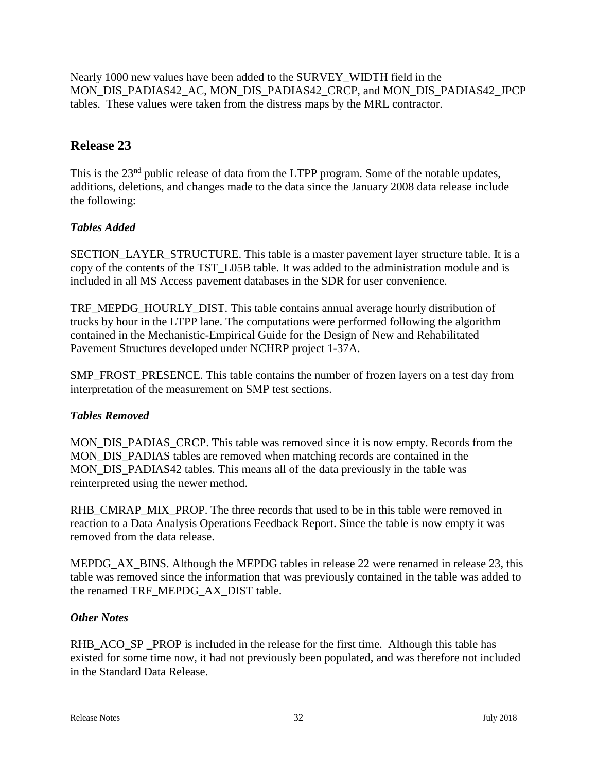Nearly 1000 new values have been added to the SURVEY\_WIDTH field in the MON\_DIS\_PADIAS42\_AC, MON\_DIS\_PADIAS42\_CRCP, and MON\_DIS\_PADIAS42\_JPCP tables. These values were taken from the distress maps by the MRL contractor.

# **Release 23**

This is the 23<sup>nd</sup> public release of data from the LTPP program. Some of the notable updates, additions, deletions, and changes made to the data since the January 2008 data release include the following:

# *Tables Added*

SECTION\_LAYER\_STRUCTURE. This table is a master pavement layer structure table. It is a copy of the contents of the TST\_L05B table. It was added to the administration module and is included in all MS Access pavement databases in the SDR for user convenience.

TRF\_MEPDG\_HOURLY\_DIST. This table contains annual average hourly distribution of trucks by hour in the LTPP lane. The computations were performed following the algorithm contained in the Mechanistic-Empirical Guide for the Design of New and Rehabilitated Pavement Structures developed under NCHRP project 1-37A.

SMP\_FROST\_PRESENCE. This table contains the number of frozen layers on a test day from interpretation of the measurement on SMP test sections.

# *Tables Removed*

MON DIS PADIAS CRCP. This table was removed since it is now empty. Records from the MON DIS PADIAS tables are removed when matching records are contained in the MON\_DIS\_PADIAS42 tables. This means all of the data previously in the table was reinterpreted using the newer method.

RHB\_CMRAP\_MIX\_PROP. The three records that used to be in this table were removed in reaction to a Data Analysis Operations Feedback Report. Since the table is now empty it was removed from the data release.

MEPDG AX BINS. Although the MEPDG tables in release 22 were renamed in release 23, this table was removed since the information that was previously contained in the table was added to the renamed TRF\_MEPDG\_AX\_DIST table.

### *Other Notes*

RHB ACO SP PROP is included in the release for the first time. Although this table has existed for some time now, it had not previously been populated, and was therefore not included in the Standard Data Release.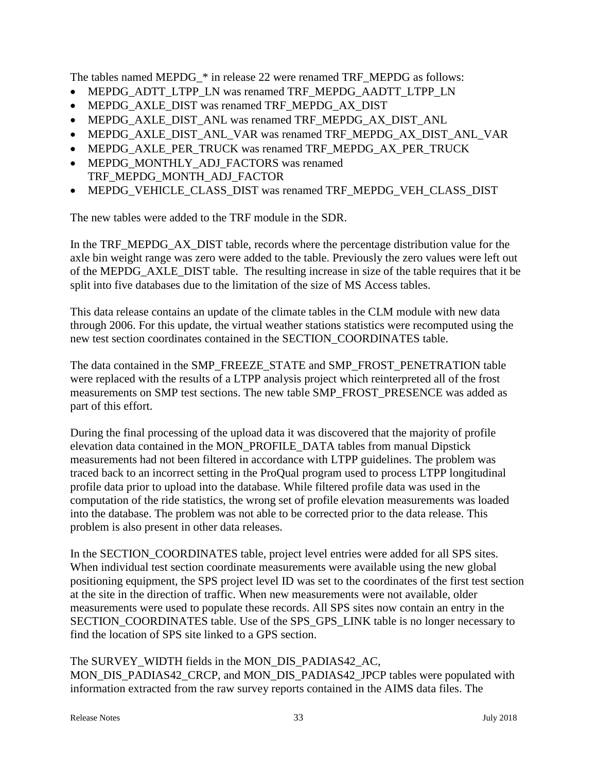The tables named MEPDG\_\* in release 22 were renamed TRF\_MEPDG as follows:

- MEPDG\_ADTT\_LTPP\_LN was renamed TRF\_MEPDG\_AADTT\_LTPP\_LN
- MEPDG\_AXLE\_DIST was renamed TRF\_MEPDG\_AX\_DIST
- MEPDG\_AXLE\_DIST\_ANL was renamed TRF\_MEPDG\_AX\_DIST\_ANL
- MEPDG\_AXLE\_DIST\_ANL\_VAR was renamed TRF\_MEPDG\_AX\_DIST\_ANL\_VAR
- MEPDG\_AXLE\_PER\_TRUCK was renamed TRF\_MEPDG\_AX\_PER\_TRUCK
- MEPDG\_MONTHLY\_ADJ\_FACTORS was renamed TRF\_MEPDG\_MONTH\_ADJ\_FACTOR
- MEPDG\_VEHICLE\_CLASS\_DIST was renamed TRF\_MEPDG\_VEH\_CLASS\_DIST

The new tables were added to the TRF module in the SDR.

In the TRF\_MEPDG\_AX\_DIST table, records where the percentage distribution value for the axle bin weight range was zero were added to the table. Previously the zero values were left out of the MEPDG\_AXLE\_DIST table. The resulting increase in size of the table requires that it be split into five databases due to the limitation of the size of MS Access tables.

This data release contains an update of the climate tables in the CLM module with new data through 2006. For this update, the virtual weather stations statistics were recomputed using the new test section coordinates contained in the SECTION\_COORDINATES table.

The data contained in the SMP\_FREEZE\_STATE and SMP\_FROST\_PENETRATION table were replaced with the results of a LTPP analysis project which reinterpreted all of the frost measurements on SMP test sections. The new table SMP\_FROST\_PRESENCE was added as part of this effort.

During the final processing of the upload data it was discovered that the majority of profile elevation data contained in the MON\_PROFILE\_DATA tables from manual Dipstick measurements had not been filtered in accordance with LTPP guidelines. The problem was traced back to an incorrect setting in the ProQual program used to process LTPP longitudinal profile data prior to upload into the database. While filtered profile data was used in the computation of the ride statistics, the wrong set of profile elevation measurements was loaded into the database. The problem was not able to be corrected prior to the data release. This problem is also present in other data releases.

In the SECTION COORDINATES table, project level entries were added for all SPS sites. When individual test section coordinate measurements were available using the new global positioning equipment, the SPS project level ID was set to the coordinates of the first test section at the site in the direction of traffic. When new measurements were not available, older measurements were used to populate these records. All SPS sites now contain an entry in the SECTION\_COORDINATES table. Use of the SPS\_GPS\_LINK table is no longer necessary to find the location of SPS site linked to a GPS section.

The SURVEY\_WIDTH fields in the MON\_DIS\_PADIAS42\_AC, MON\_DIS\_PADIAS42\_CRCP, and MON\_DIS\_PADIAS42\_JPCP tables were populated with information extracted from the raw survey reports contained in the AIMS data files. The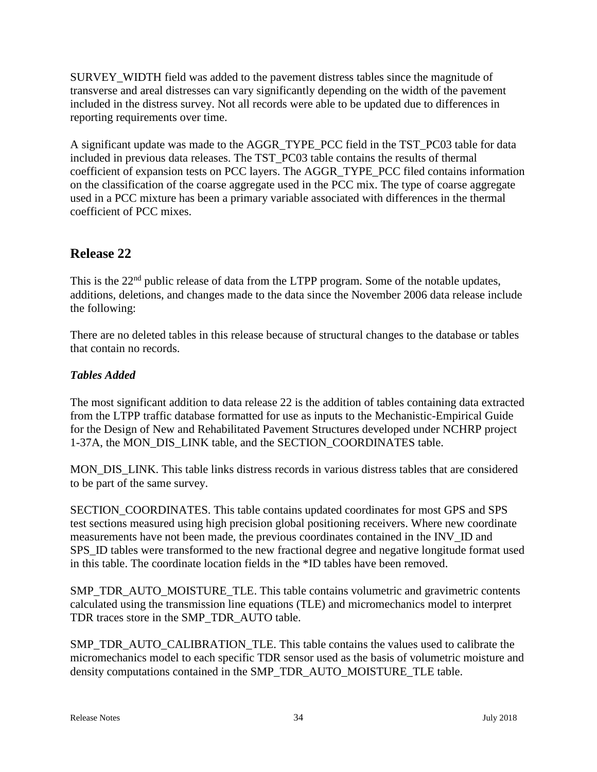SURVEY\_WIDTH field was added to the pavement distress tables since the magnitude of transverse and areal distresses can vary significantly depending on the width of the pavement included in the distress survey. Not all records were able to be updated due to differences in reporting requirements over time.

A significant update was made to the AGGR\_TYPE\_PCC field in the TST\_PC03 table for data included in previous data releases. The TST\_PC03 table contains the results of thermal coefficient of expansion tests on PCC layers. The AGGR\_TYPE\_PCC filed contains information on the classification of the coarse aggregate used in the PCC mix. The type of coarse aggregate used in a PCC mixture has been a primary variable associated with differences in the thermal coefficient of PCC mixes.

# **Release 22**

This is the 22<sup>nd</sup> public release of data from the LTPP program. Some of the notable updates, additions, deletions, and changes made to the data since the November 2006 data release include the following:

There are no deleted tables in this release because of structural changes to the database or tables that contain no records.

# *Tables Added*

The most significant addition to data release 22 is the addition of tables containing data extracted from the LTPP traffic database formatted for use as inputs to the Mechanistic-Empirical Guide for the Design of New and Rehabilitated Pavement Structures developed under NCHRP project 1-37A, the MON\_DIS\_LINK table, and the SECTION\_COORDINATES table.

MON\_DIS\_LINK. This table links distress records in various distress tables that are considered to be part of the same survey.

SECTION\_COORDINATES. This table contains updated coordinates for most GPS and SPS test sections measured using high precision global positioning receivers. Where new coordinate measurements have not been made, the previous coordinates contained in the INV\_ID and SPS ID tables were transformed to the new fractional degree and negative longitude format used in this table. The coordinate location fields in the \*ID tables have been removed.

SMP\_TDR\_AUTO\_MOISTURE\_TLE. This table contains volumetric and gravimetric contents calculated using the transmission line equations (TLE) and micromechanics model to interpret TDR traces store in the SMP\_TDR\_AUTO table.

SMP\_TDR\_AUTO\_CALIBRATION\_TLE. This table contains the values used to calibrate the micromechanics model to each specific TDR sensor used as the basis of volumetric moisture and density computations contained in the SMP\_TDR\_AUTO\_MOISTURE\_TLE table.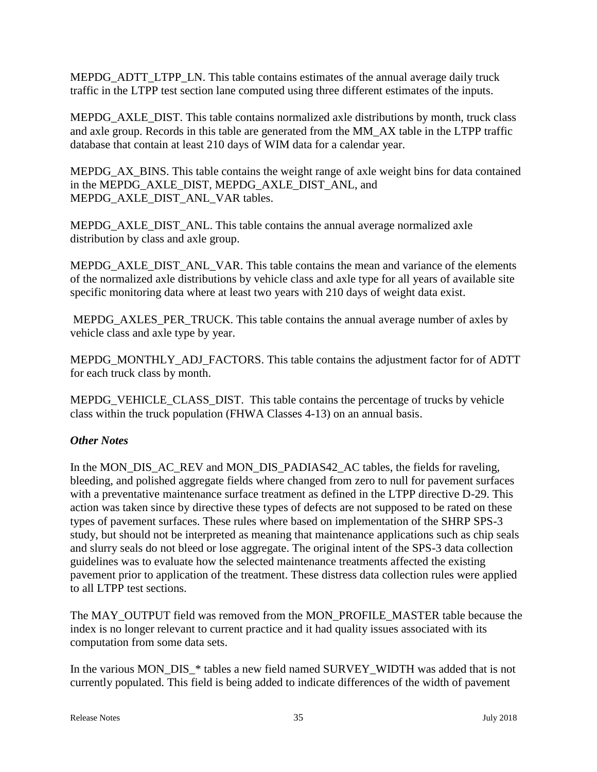MEPDG\_ADTT\_LTPP\_LN. This table contains estimates of the annual average daily truck traffic in the LTPP test section lane computed using three different estimates of the inputs.

MEPDG\_AXLE\_DIST. This table contains normalized axle distributions by month, truck class and axle group. Records in this table are generated from the MM\_AX table in the LTPP traffic database that contain at least 210 days of WIM data for a calendar year.

MEPDG\_AX\_BINS. This table contains the weight range of axle weight bins for data contained in the MEPDG\_AXLE\_DIST, MEPDG\_AXLE\_DIST\_ANL, and MEPDG\_AXLE\_DIST\_ANL\_VAR tables.

MEPDG\_AXLE\_DIST\_ANL. This table contains the annual average normalized axle distribution by class and axle group.

MEPDG\_AXLE\_DIST\_ANL\_VAR. This table contains the mean and variance of the elements of the normalized axle distributions by vehicle class and axle type for all years of available site specific monitoring data where at least two years with 210 days of weight data exist.

MEPDG\_AXLES\_PER\_TRUCK. This table contains the annual average number of axles by vehicle class and axle type by year.

MEPDG\_MONTHLY\_ADJ\_FACTORS. This table contains the adjustment factor for of ADTT for each truck class by month.

MEPDG\_VEHICLE\_CLASS\_DIST. This table contains the percentage of trucks by vehicle class within the truck population (FHWA Classes 4-13) on an annual basis.

### *Other Notes*

In the MON\_DIS\_AC\_REV and MON\_DIS\_PADIAS42\_AC tables, the fields for raveling, bleeding, and polished aggregate fields where changed from zero to null for pavement surfaces with a preventative maintenance surface treatment as defined in the LTPP directive D-29. This action was taken since by directive these types of defects are not supposed to be rated on these types of pavement surfaces. These rules where based on implementation of the SHRP SPS-3 study, but should not be interpreted as meaning that maintenance applications such as chip seals and slurry seals do not bleed or lose aggregate. The original intent of the SPS-3 data collection guidelines was to evaluate how the selected maintenance treatments affected the existing pavement prior to application of the treatment. These distress data collection rules were applied to all LTPP test sections.

The MAY\_OUTPUT field was removed from the MON\_PROFILE\_MASTER table because the index is no longer relevant to current practice and it had quality issues associated with its computation from some data sets.

In the various MON\_DIS\_\* tables a new field named SURVEY\_WIDTH was added that is not currently populated. This field is being added to indicate differences of the width of pavement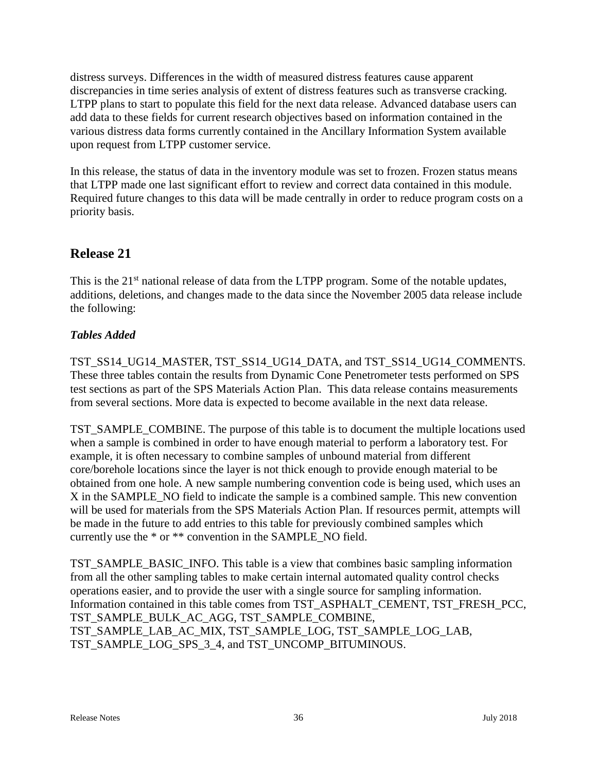distress surveys. Differences in the width of measured distress features cause apparent discrepancies in time series analysis of extent of distress features such as transverse cracking. LTPP plans to start to populate this field for the next data release. Advanced database users can add data to these fields for current research objectives based on information contained in the various distress data forms currently contained in the Ancillary Information System available upon request from LTPP customer service.

In this release, the status of data in the inventory module was set to frozen. Frozen status means that LTPP made one last significant effort to review and correct data contained in this module. Required future changes to this data will be made centrally in order to reduce program costs on a priority basis.

# **Release 21**

This is the 21<sup>st</sup> national release of data from the LTPP program. Some of the notable updates, additions, deletions, and changes made to the data since the November 2005 data release include the following:

# *Tables Added*

TST\_SS14\_UG14\_MASTER, TST\_SS14\_UG14\_DATA, and TST\_SS14\_UG14\_COMMENTS. These three tables contain the results from Dynamic Cone Penetrometer tests performed on SPS test sections as part of the SPS Materials Action Plan. This data release contains measurements from several sections. More data is expected to become available in the next data release.

TST\_SAMPLE\_COMBINE. The purpose of this table is to document the multiple locations used when a sample is combined in order to have enough material to perform a laboratory test. For example, it is often necessary to combine samples of unbound material from different core/borehole locations since the layer is not thick enough to provide enough material to be obtained from one hole. A new sample numbering convention code is being used, which uses an X in the SAMPLE\_NO field to indicate the sample is a combined sample. This new convention will be used for materials from the SPS Materials Action Plan. If resources permit, attempts will be made in the future to add entries to this table for previously combined samples which currently use the \* or \*\* convention in the SAMPLE\_NO field.

TST\_SAMPLE\_BASIC\_INFO. This table is a view that combines basic sampling information from all the other sampling tables to make certain internal automated quality control checks operations easier, and to provide the user with a single source for sampling information. Information contained in this table comes from TST\_ASPHALT\_CEMENT, TST\_FRESH\_PCC, TST\_SAMPLE\_BULK\_AC\_AGG, TST\_SAMPLE\_COMBINE, TST\_SAMPLE\_LAB\_AC\_MIX, TST\_SAMPLE\_LOG, TST\_SAMPLE\_LOG\_LAB, TST\_SAMPLE\_LOG\_SPS\_3\_4, and TST\_UNCOMP\_BITUMINOUS.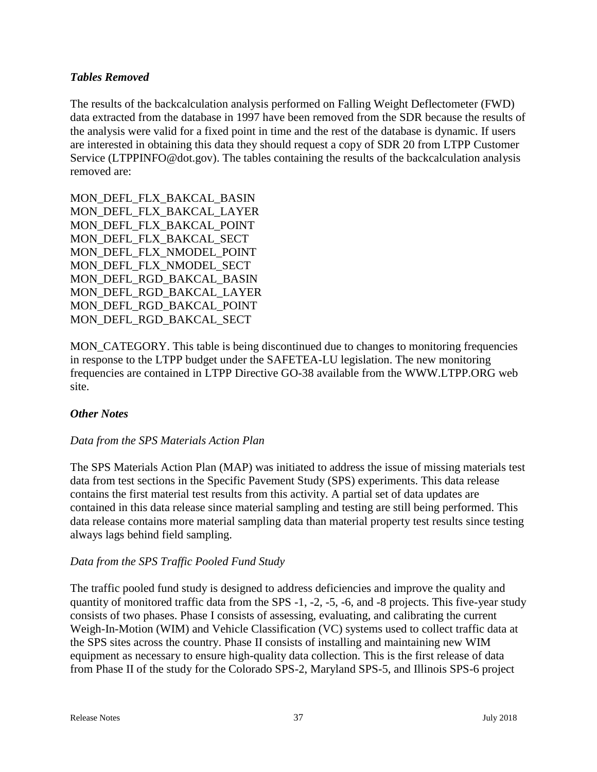### *Tables Removed*

The results of the backcalculation analysis performed on Falling Weight Deflectometer (FWD) data extracted from the database in 1997 have been removed from the SDR because the results of the analysis were valid for a fixed point in time and the rest of the database is dynamic. If users are interested in obtaining this data they should request a copy of SDR 20 from LTPP Customer Service (LTPPINFO@dot.gov). The tables containing the results of the backcalculation analysis removed are:

MON\_DEFL\_FLX\_BAKCAL\_BASIN MON\_DEFL\_FLX\_BAKCAL\_LAYER MON\_DEFL\_FLX\_BAKCAL\_POINT MON DEFL\_FLX\_BAKCAL\_SECT MON\_DEFL\_FLX\_NMODEL\_POINT MON\_DEFL\_FLX\_NMODEL\_SECT MON\_DEFL\_RGD\_BAKCAL\_BASIN MON\_DEFL\_RGD\_BAKCAL\_LAYER MON\_DEFL\_RGD\_BAKCAL\_POINT MON\_DEFL\_RGD\_BAKCAL\_SECT

MON CATEGORY. This table is being discontinued due to changes to monitoring frequencies in response to the LTPP budget under the SAFETEA-LU legislation. The new monitoring frequencies are contained in LTPP Directive GO-38 available from the WWW.LTPP.ORG web site.

### *Other Notes*

### *Data from the SPS Materials Action Plan*

The SPS Materials Action Plan (MAP) was initiated to address the issue of missing materials test data from test sections in the Specific Pavement Study (SPS) experiments. This data release contains the first material test results from this activity. A partial set of data updates are contained in this data release since material sampling and testing are still being performed. This data release contains more material sampling data than material property test results since testing always lags behind field sampling.

### *Data from the SPS Traffic Pooled Fund Study*

The traffic pooled fund study is designed to address deficiencies and improve the quality and quantity of monitored traffic data from the SPS -1, -2, -5, -6, and -8 projects. This five-year study consists of two phases. Phase I consists of assessing, evaluating, and calibrating the current Weigh-In-Motion (WIM) and Vehicle Classification (VC) systems used to collect traffic data at the SPS sites across the country. Phase II consists of installing and maintaining new WIM equipment as necessary to ensure high-quality data collection. This is the first release of data from Phase II of the study for the Colorado SPS-2, Maryland SPS-5, and Illinois SPS-6 project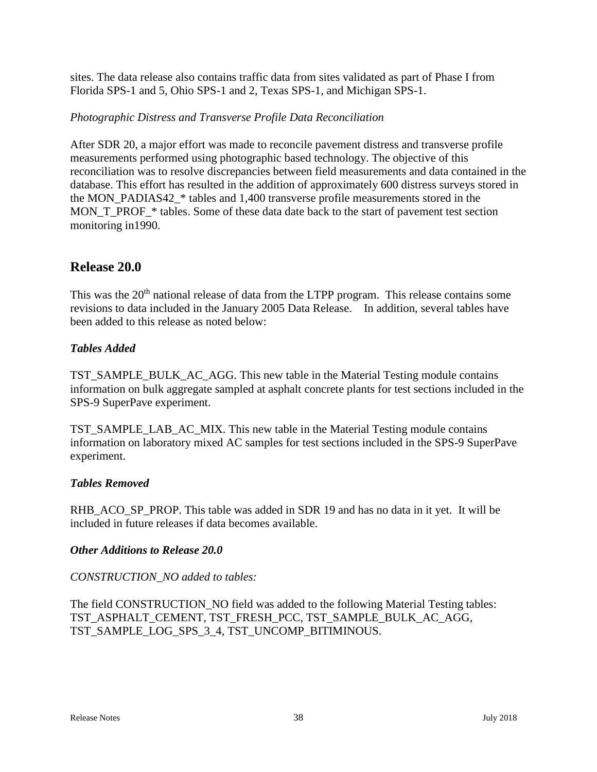sites. The data release also contains traffic data from sites validated as part of Phase I from Florida SPS-1 and 5, Ohio SPS-1 and 2, Texas SPS-1, and Michigan SPS-1.

### *Photographic Distress and Transverse Profile Data Reconciliation*

After SDR 20, a major effort was made to reconcile pavement distress and transverse profile measurements performed using photographic based technology. The objective of this reconciliation was to resolve discrepancies between field measurements and data contained in the database. This effort has resulted in the addition of approximately 600 distress surveys stored in the MON\_PADIAS42\_\* tables and 1,400 transverse profile measurements stored in the MON\_T\_PROF\_\* tables. Some of these data date back to the start of pavement test section monitoring in1990.

# **Release 20.0**

This was the 20<sup>th</sup> national release of data from the LTPP program. This release contains some revisions to data included in the January 2005 Data Release. In addition, several tables have been added to this release as noted below:

### *Tables Added*

TST\_SAMPLE\_BULK\_AC\_AGG. This new table in the Material Testing module contains information on bulk aggregate sampled at asphalt concrete plants for test sections included in the SPS-9 SuperPave experiment.

TST\_SAMPLE\_LAB\_AC\_MIX. This new table in the Material Testing module contains information on laboratory mixed AC samples for test sections included in the SPS-9 SuperPave experiment.

### *Tables Removed*

RHB\_ACO\_SP\_PROP. This table was added in SDR 19 and has no data in it yet. It will be included in future releases if data becomes available.

### *Other Additions to Release 20.0*

### *CONSTRUCTION\_NO added to tables:*

The field CONSTRUCTION\_NO field was added to the following Material Testing tables: TST\_ASPHALT\_CEMENT, TST\_FRESH\_PCC, TST\_SAMPLE\_BULK\_AC\_AGG, TST\_SAMPLE\_LOG\_SPS\_3\_4, TST\_UNCOMP\_BITIMINOUS.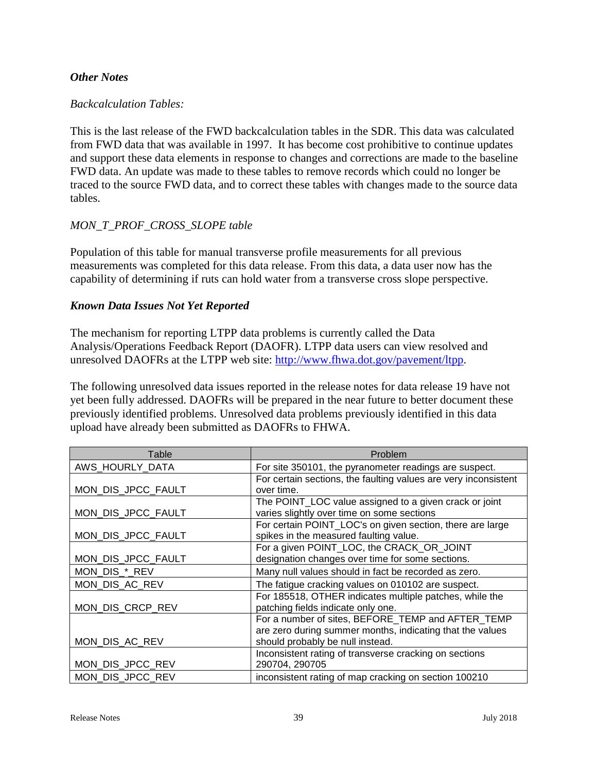### *Other Notes*

### *Backcalculation Tables:*

This is the last release of the FWD backcalculation tables in the SDR. This data was calculated from FWD data that was available in 1997. It has become cost prohibitive to continue updates and support these data elements in response to changes and corrections are made to the baseline FWD data. An update was made to these tables to remove records which could no longer be traced to the source FWD data, and to correct these tables with changes made to the source data tables.

### *MON\_T\_PROF\_CROSS\_SLOPE table*

Population of this table for manual transverse profile measurements for all previous measurements was completed for this data release. From this data, a data user now has the capability of determining if ruts can hold water from a transverse cross slope perspective.

### *Known Data Issues Not Yet Reported*

The mechanism for reporting LTPP data problems is currently called the Data Analysis/Operations Feedback Report (DAOFR). LTPP data users can view resolved and unresolved DAOFRs at the LTPP web site: [http://www.fhwa.dot.gov/pavement/ltpp.](http://www.fhwa.dot.gov/pavement/ltpp)

The following unresolved data issues reported in the release notes for data release 19 have not yet been fully addressed. DAOFRs will be prepared in the near future to better document these previously identified problems. Unresolved data problems previously identified in this data upload have already been submitted as DAOFRs to FHWA.

| Table              | Problem                                                         |
|--------------------|-----------------------------------------------------------------|
| AWS_HOURLY_DATA    | For site 350101, the pyranometer readings are suspect.          |
|                    | For certain sections, the faulting values are very inconsistent |
| MON_DIS_JPCC_FAULT | over time.                                                      |
|                    | The POINT_LOC value assigned to a given crack or joint          |
| MON_DIS_JPCC_FAULT | varies slightly over time on some sections                      |
|                    | For certain POINT_LOC's on given section, there are large       |
| MON_DIS_JPCC_FAULT | spikes in the measured faulting value.                          |
|                    | For a given POINT_LOC, the CRACK_OR_JOINT                       |
| MON_DIS_JPCC_FAULT | designation changes over time for some sections.                |
| MON_DIS_*_REV      | Many null values should in fact be recorded as zero.            |
| MON_DIS_AC_REV     | The fatigue cracking values on 010102 are suspect.              |
|                    | For 185518, OTHER indicates multiple patches, while the         |
| MON_DIS_CRCP_REV   | patching fields indicate only one.                              |
|                    | For a number of sites, BEFORE_TEMP and AFTER_TEMP               |
|                    | are zero during summer months, indicating that the values       |
| MON_DIS_AC_REV     | should probably be null instead.                                |
|                    | Inconsistent rating of transverse cracking on sections          |
| MON_DIS_JPCC_REV   | 290704, 290705                                                  |
| MON DIS JPCC REV   | inconsistent rating of map cracking on section 100210           |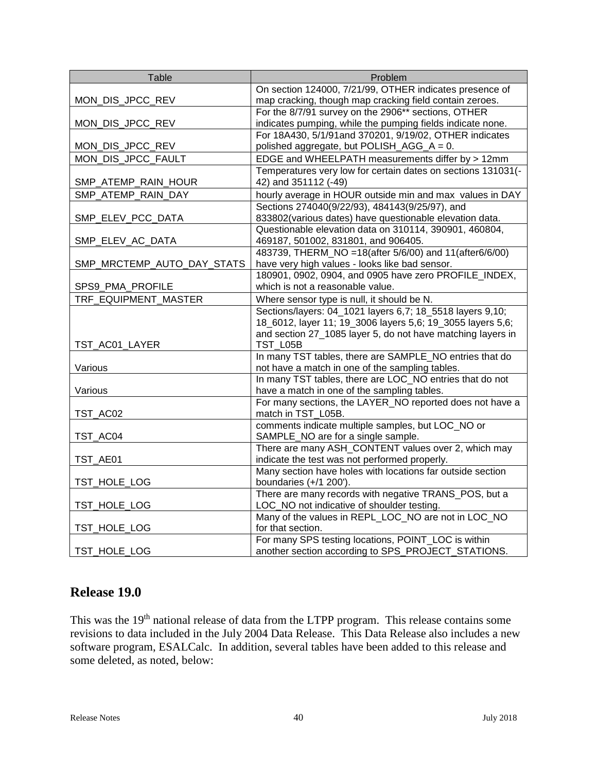| Table                      | Problem                                                                                           |
|----------------------------|---------------------------------------------------------------------------------------------------|
|                            | On section 124000, 7/21/99, OTHER indicates presence of                                           |
| MON_DIS_JPCC_REV           | map cracking, though map cracking field contain zeroes.                                           |
|                            | For the 8/7/91 survey on the 2906** sections, OTHER                                               |
| MON_DIS_JPCC_REV           | indicates pumping, while the pumping fields indicate none.                                        |
|                            | For 18A430, 5/1/91and 370201, 9/19/02, OTHER indicates                                            |
| MON_DIS_JPCC_REV           | polished aggregate, but POLISH_AGG_A = 0.                                                         |
| MON_DIS_JPCC_FAULT         | EDGE and WHEELPATH measurements differ by > 12mm                                                  |
|                            | Temperatures very low for certain dates on sections 131031(-                                      |
| SMP_ATEMP_RAIN_HOUR        | 42) and 351112 (-49)                                                                              |
| SMP_ATEMP_RAIN_DAY         | hourly average in HOUR outside min and max values in DAY                                          |
|                            | Sections 274040(9/22/93), 484143(9/25/97), and                                                    |
| SMP_ELEV_PCC_DATA          | 833802(various dates) have questionable elevation data.                                           |
|                            | Questionable elevation data on 310114, 390901, 460804,                                            |
| SMP_ELEV_AC_DATA           | 469187, 501002, 831801, and 906405.                                                               |
|                            | 483739, THERM_NO = 18(after 5/6/00) and 11(after6/6/00)                                           |
| SMP_MRCTEMP_AUTO_DAY_STATS | have very high values - looks like bad sensor.                                                    |
|                            | 180901, 0902, 0904, and 0905 have zero PROFILE_INDEX,                                             |
| SPS9_PMA_PROFILE           | which is not a reasonable value.                                                                  |
| TRF EQUIPMENT MASTER       | Where sensor type is null, it should be N.                                                        |
|                            | Sections/layers: 04_1021 layers 6,7; 18_5518 layers 9,10;                                         |
|                            | 18_6012, layer 11; 19_3006 layers 5,6; 19_3055 layers 5,6;                                        |
|                            | and section 27_1085 layer 5, do not have matching layers in                                       |
| TST_AC01_LAYER             | TST_L05B                                                                                          |
|                            | In many TST tables, there are SAMPLE_NO entries that do                                           |
| Various                    | not have a match in one of the sampling tables.                                                   |
|                            | In many TST tables, there are LOC_NO entries that do not                                          |
| Various                    | have a match in one of the sampling tables.                                                       |
|                            | For many sections, the LAYER_NO reported does not have a                                          |
| TST_AC02                   | match in TST_L05B.                                                                                |
|                            | comments indicate multiple samples, but LOC_NO or                                                 |
| TST_AC04                   | SAMPLE_NO are for a single sample.                                                                |
|                            | There are many ASH_CONTENT values over 2, which may                                               |
| TST_AE01                   | indicate the test was not performed properly.                                                     |
|                            | Many section have holes with locations far outside section                                        |
| TST_HOLE_LOG               | boundaries $(+/1 200')$ .<br>There are many records with negative TRANS_POS, but a                |
|                            |                                                                                                   |
| TST_HOLE_LOG               | LOC_NO not indicative of shoulder testing.<br>Many of the values in REPL_LOC_NO are not in LOC_NO |
| TST_HOLE_LOG               | for that section.                                                                                 |
|                            | For many SPS testing locations, POINT_LOC is within                                               |
| TST_HOLE_LOG               | another section according to SPS_PROJECT_STATIONS.                                                |
|                            |                                                                                                   |

# **Release 19.0**

This was the 19th national release of data from the LTPP program. This release contains some revisions to data included in the July 2004 Data Release. This Data Release also includes a new software program, ESALCalc. In addition, several tables have been added to this release and some deleted, as noted, below: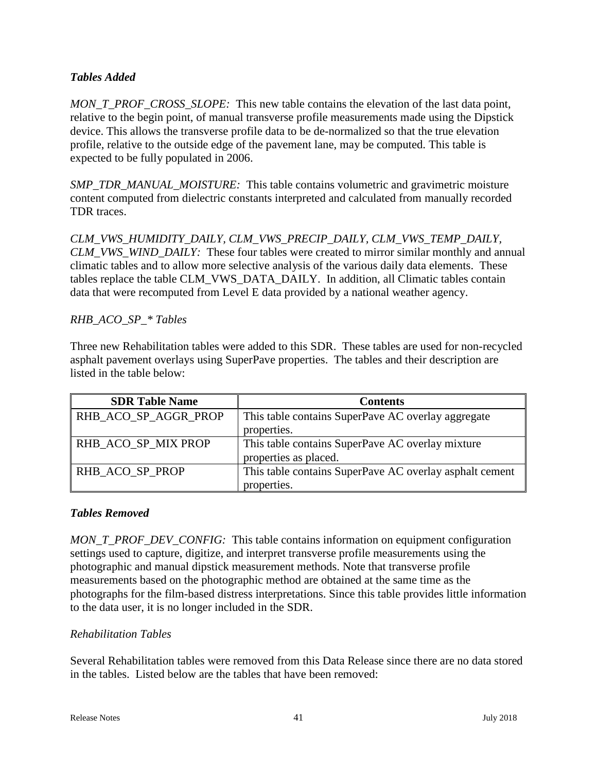### *Tables Added*

*MON\_T\_PROF\_CROSS\_SLOPE:* This new table contains the elevation of the last data point, relative to the begin point, of manual transverse profile measurements made using the Dipstick device. This allows the transverse profile data to be de-normalized so that the true elevation profile, relative to the outside edge of the pavement lane, may be computed. This table is expected to be fully populated in 2006.

*SMP\_TDR\_MANUAL\_MOISTURE:* This table contains volumetric and gravimetric moisture content computed from dielectric constants interpreted and calculated from manually recorded TDR traces.

*CLM\_VWS\_HUMIDITY\_DAILY, CLM\_VWS\_PRECIP\_DAILY, CLM\_VWS\_TEMP\_DAILY, CLM\_VWS\_WIND\_DAILY:* These four tables were created to mirror similar monthly and annual climatic tables and to allow more selective analysis of the various daily data elements. These tables replace the table CLM\_VWS\_DATA\_DAILY. In addition, all Climatic tables contain data that were recomputed from Level E data provided by a national weather agency.

### *RHB\_ACO\_SP\_\* Tables*

Three new Rehabilitation tables were added to this SDR. These tables are used for non-recycled asphalt pavement overlays using SuperPave properties. The tables and their description are listed in the table below:

| <b>SDR Table Name</b> | <b>Contents</b>                                         |
|-----------------------|---------------------------------------------------------|
| RHB_ACO_SP_AGGR_PROP  | This table contains SuperPave AC overlay aggregate      |
|                       | properties.                                             |
| RHB_ACO_SP_MIX PROP   | This table contains SuperPave AC overlay mixture        |
|                       | properties as placed.                                   |
| RHB ACO SP PROP       | This table contains SuperPave AC overlay asphalt cement |
|                       | properties.                                             |

### *Tables Removed*

*MON\_T\_PROF\_DEV\_CONFIG:* This table contains information on equipment configuration settings used to capture, digitize, and interpret transverse profile measurements using the photographic and manual dipstick measurement methods. Note that transverse profile measurements based on the photographic method are obtained at the same time as the photographs for the film-based distress interpretations. Since this table provides little information to the data user, it is no longer included in the SDR.

### *Rehabilitation Tables*

Several Rehabilitation tables were removed from this Data Release since there are no data stored in the tables. Listed below are the tables that have been removed: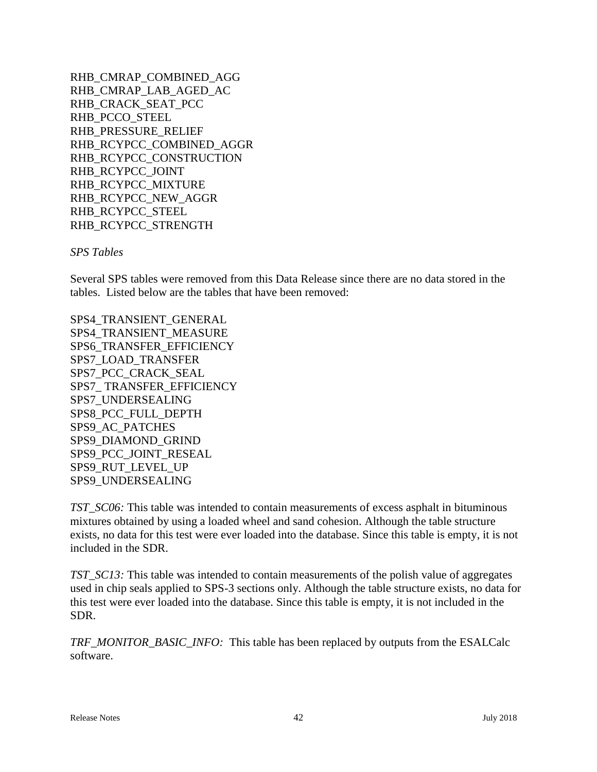RHB\_CMRAP\_COMBINED\_AGG RHB\_CMRAP\_LAB\_AGED\_AC RHB\_CRACK\_SEAT\_PCC RHB\_PCCO\_STEEL RHB\_PRESSURE\_RELIEF RHB\_RCYPCC\_COMBINED\_AGGR RHB\_RCYPCC\_CONSTRUCTION RHB\_RCYPCC\_JOINT RHB\_RCYPCC\_MIXTURE RHB\_RCYPCC\_NEW\_AGGR RHB\_RCYPCC\_STEEL RHB\_RCYPCC\_STRENGTH

*SPS Tables*

Several SPS tables were removed from this Data Release since there are no data stored in the tables. Listed below are the tables that have been removed:

SPS4\_TRANSIENT\_GENERAL SPS4\_TRANSIENT\_MEASURE SPS6\_TRANSFER\_EFFICIENCY SPS7\_LOAD\_TRANSFER SPS7\_PCC\_CRACK\_SEAL SPS7\_ TRANSFER\_EFFICIENCY SPS7\_UNDERSEALING SPS8\_PCC\_FULL\_DEPTH SPS9\_AC\_PATCHES SPS9\_DIAMOND\_GRIND SPS9\_PCC\_JOINT\_RESEAL SPS9\_RUT\_LEVEL\_UP SPS9\_UNDERSEALING

*TST\_SC06:* This table was intended to contain measurements of excess asphalt in bituminous mixtures obtained by using a loaded wheel and sand cohesion. Although the table structure exists, no data for this test were ever loaded into the database. Since this table is empty, it is not included in the SDR.

*TST\_SC13:* This table was intended to contain measurements of the polish value of aggregates used in chip seals applied to SPS-3 sections only. Although the table structure exists, no data for this test were ever loaded into the database. Since this table is empty, it is not included in the SDR.

*TRF\_MONITOR\_BASIC\_INFO:* This table has been replaced by outputs from the ESALCalc software.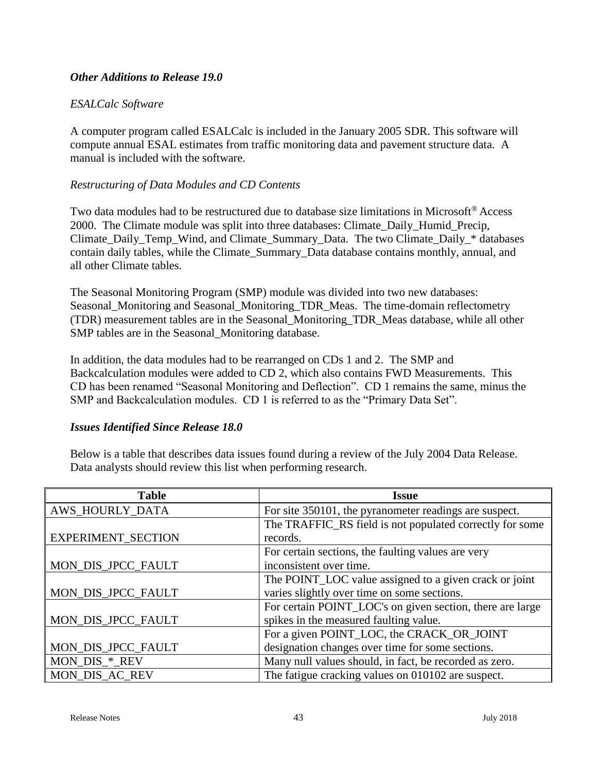### *Other Additions to Release 19.0*

### *ESALCalc Software*

A computer program called ESALCalc is included in the January 2005 SDR. This software will compute annual ESAL estimates from traffic monitoring data and pavement structure data. A manual is included with the software.

### *Restructuring of Data Modules and CD Contents*

Two data modules had to be restructured due to database size limitations in Microsoft<sup>®</sup> Access 2000. The Climate module was split into three databases: Climate\_Daily\_Humid\_Precip, Climate\_Daily\_Temp\_Wind, and Climate\_Summary\_Data. The two Climate\_Daily\_\* databases contain daily tables, while the Climate\_Summary\_Data database contains monthly, annual, and all other Climate tables.

The Seasonal Monitoring Program (SMP) module was divided into two new databases: Seasonal\_Monitoring and Seasonal\_Monitoring\_TDR\_Meas. The time-domain reflectometry (TDR) measurement tables are in the Seasonal\_Monitoring\_TDR\_Meas database, while all other SMP tables are in the Seasonal\_Monitoring database.

In addition, the data modules had to be rearranged on CDs 1 and 2. The SMP and Backcalculation modules were added to CD 2, which also contains FWD Measurements. This CD has been renamed "Seasonal Monitoring and Deflection". CD 1 remains the same, minus the SMP and Backcalculation modules. CD 1 is referred to as the "Primary Data Set".

### *Issues Identified Since Release 18.0*

Below is a table that describes data issues found during a review of the July 2004 Data Release. Data analysts should review this list when performing research.

| <b>Table</b>              | <b>Issue</b>                                              |
|---------------------------|-----------------------------------------------------------|
| AWS_HOURLY_DATA           | For site 350101, the pyranometer readings are suspect.    |
|                           | The TRAFFIC_RS field is not populated correctly for some  |
| <b>EXPERIMENT_SECTION</b> | records.                                                  |
|                           | For certain sections, the faulting values are very        |
| MON_DIS_JPCC_FAULT        | inconsistent over time.                                   |
|                           | The POINT_LOC value assigned to a given crack or joint    |
| MON_DIS_JPCC_FAULT        | varies slightly over time on some sections.               |
|                           | For certain POINT_LOC's on given section, there are large |
| MON_DIS_JPCC_FAULT        | spikes in the measured faulting value.                    |
|                           | For a given POINT_LOC, the CRACK_OR_JOINT                 |
| MON_DIS_JPCC_FAULT        | designation changes over time for some sections.          |
| MON_DIS_*_REV             | Many null values should, in fact, be recorded as zero.    |
| MON_DIS_AC_REV            | The fatigue cracking values on 010102 are suspect.        |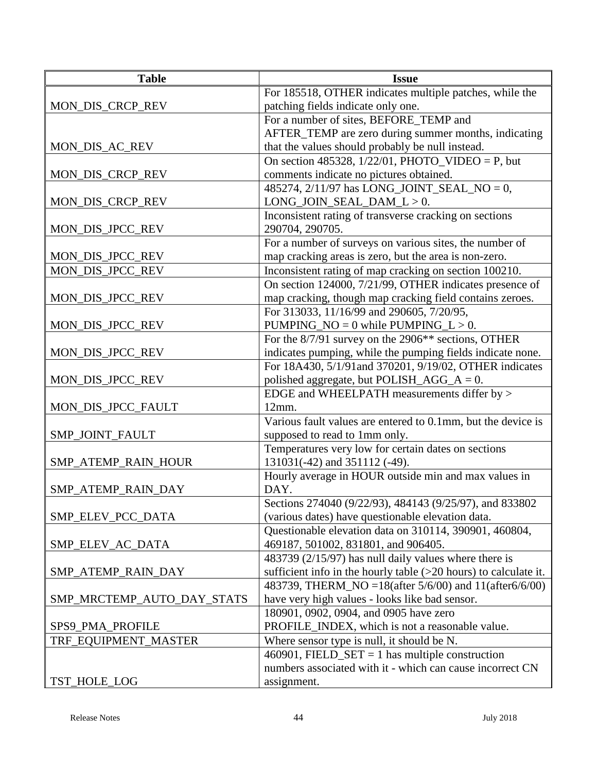| <b>Table</b>               | <b>Issue</b>                                                       |
|----------------------------|--------------------------------------------------------------------|
|                            | For 185518, OTHER indicates multiple patches, while the            |
| MON_DIS_CRCP_REV           | patching fields indicate only one.                                 |
|                            | For a number of sites, BEFORE_TEMP and                             |
|                            | AFTER_TEMP are zero during summer months, indicating               |
| MON_DIS_AC_REV             | that the values should probably be null instead.                   |
|                            | On section 485328, $1/22/01$ , PHOTO_VIDEO = P, but                |
| MON_DIS_CRCP_REV           | comments indicate no pictures obtained.                            |
|                            | 485274, 2/11/97 has LONG_JOINT_SEAL_NO = 0,                        |
| MON_DIS_CRCP_REV           | LONG_JOIN_SEAL_DAM_L > 0.                                          |
|                            | Inconsistent rating of transverse cracking on sections             |
| MON_DIS_JPCC_REV           | 290704, 290705.                                                    |
|                            | For a number of surveys on various sites, the number of            |
| MON_DIS_JPCC_REV           | map cracking areas is zero, but the area is non-zero.              |
| MON_DIS_JPCC_REV           | Inconsistent rating of map cracking on section 100210.             |
|                            | On section 124000, 7/21/99, OTHER indicates presence of            |
| MON_DIS_JPCC_REV           | map cracking, though map cracking field contains zeroes.           |
|                            | For 313033, 11/16/99 and 290605, 7/20/95,                          |
| MON_DIS_JPCC_REV           | PUMPING_NO = $0$ while PUMPING_L > 0.                              |
|                            | For the 8/7/91 survey on the 2906** sections, OTHER                |
| MON_DIS_JPCC_REV           | indicates pumping, while the pumping fields indicate none.         |
|                            | For 18A430, 5/1/91and 370201, 9/19/02, OTHER indicates             |
| MON_DIS_JPCC_REV           | polished aggregate, but POLISH_AGG_ $A = 0$ .                      |
|                            | EDGE and WHEELPATH measurements differ by >                        |
| MON_DIS_JPCC_FAULT         | 12mm.                                                              |
|                            | Various fault values are entered to 0.1mm, but the device is       |
| SMP_JOINT_FAULT            | supposed to read to 1mm only.                                      |
|                            | Temperatures very low for certain dates on sections                |
| SMP_ATEMP_RAIN_HOUR        | 131031(-42) and 351112 (-49).                                      |
|                            | Hourly average in HOUR outside min and max values in               |
| SMP_ATEMP_RAIN_DAY         | DAY.                                                               |
|                            | Sections 274040 (9/22/93), 484143 (9/25/97), and 833802            |
| SMP_ELEV_PCC_DATA          | (various dates) have questionable elevation data.                  |
|                            | Questionable elevation data on 310114, 390901, 460804,             |
| SMP_ELEV_AC_DATA           | 469187, 501002, 831801, and 906405.                                |
|                            | 483739 (2/15/97) has null daily values where there is              |
| SMP_ATEMP_RAIN_DAY         | sufficient info in the hourly table $(>20$ hours) to calculate it. |
|                            | 483739, THERM_NO = 18(after 5/6/00) and 11(after 6/6/00)           |
| SMP_MRCTEMP_AUTO_DAY_STATS | have very high values - looks like bad sensor.                     |
|                            | 180901, 0902, 0904, and 0905 have zero                             |
| SPS9_PMA_PROFILE           | PROFILE_INDEX, which is not a reasonable value.                    |
| TRF_EQUIPMENT_MASTER       | Where sensor type is null, it should be N.                         |
|                            | 460901, FIELD_SET = 1 has multiple construction                    |
|                            | numbers associated with it - which can cause incorrect CN          |
| TST_HOLE_LOG               | assignment.                                                        |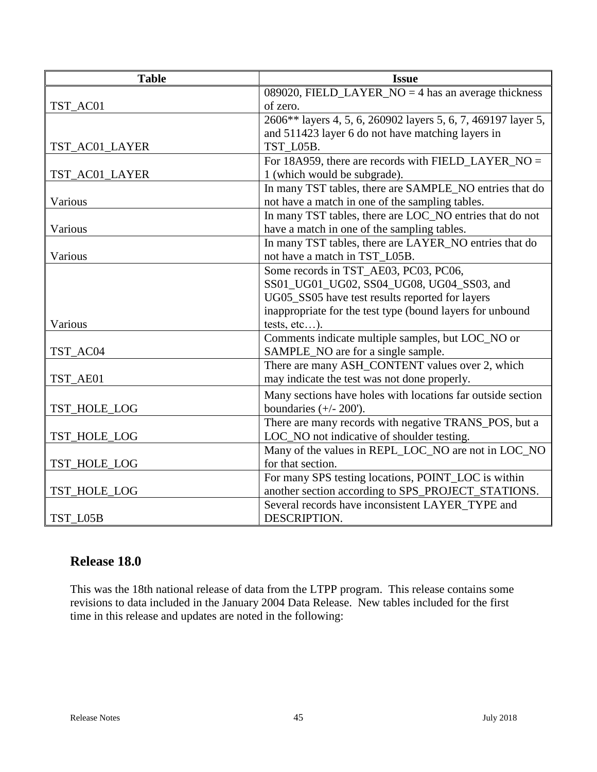| <b>Table</b>   | <b>Issue</b>                                                  |
|----------------|---------------------------------------------------------------|
|                | 089020, FIELD_LAYER_NO = 4 has an average thickness           |
| TST_AC01       | of zero.                                                      |
|                | 2606** layers 4, 5, 6, 260902 layers 5, 6, 7, 469197 layer 5, |
|                | and 511423 layer 6 do not have matching layers in             |
| TST_AC01_LAYER | TST L05B.                                                     |
|                | For 18A959, there are records with FIELD_LAYER_NO =           |
| TST_AC01_LAYER | 1 (which would be subgrade).                                  |
|                | In many TST tables, there are SAMPLE_NO entries that do       |
| Various        | not have a match in one of the sampling tables.               |
|                | In many TST tables, there are LOC_NO entries that do not      |
| Various        | have a match in one of the sampling tables.                   |
|                | In many TST tables, there are LAYER_NO entries that do        |
| Various        | not have a match in TST_L05B.                                 |
|                | Some records in TST_AE03, PC03, PC06,                         |
|                | SS01_UG01_UG02, SS04_UG08, UG04_SS03, and                     |
|                | UG05_SS05 have test results reported for layers               |
|                | inappropriate for the test type (bound layers for unbound     |
| Various        | tests, $etc$ ).                                               |
|                | Comments indicate multiple samples, but LOC_NO or             |
| TST_AC04       | SAMPLE_NO are for a single sample.                            |
|                | There are many ASH_CONTENT values over 2, which               |
| TST_AE01       | may indicate the test was not done properly.                  |
|                | Many sections have holes with locations far outside section   |
| TST_HOLE_LOG   | boundaries $(+/- 200')$ .                                     |
|                | There are many records with negative TRANS_POS, but a         |
| TST_HOLE_LOG   | LOC_NO not indicative of shoulder testing.                    |
|                | Many of the values in REPL_LOC_NO are not in LOC_NO           |
| TST_HOLE_LOG   | for that section.                                             |
|                | For many SPS testing locations, POINT_LOC is within           |
| TST_HOLE_LOG   | another section according to SPS_PROJECT_STATIONS.            |
|                | Several records have inconsistent LAYER_TYPE and              |
| TST L05B       | DESCRIPTION.                                                  |

# **Release 18.0**

This was the 18th national release of data from the LTPP program. This release contains some revisions to data included in the January 2004 Data Release. New tables included for the first time in this release and updates are noted in the following: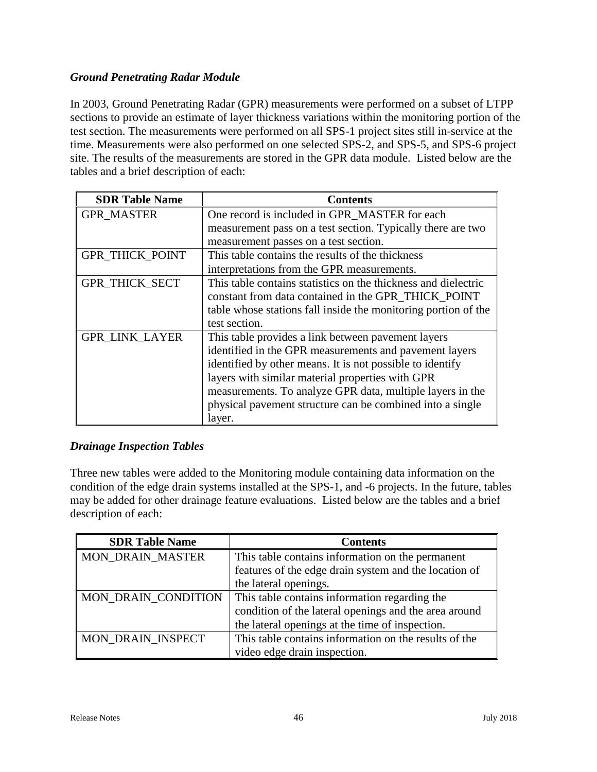### *Ground Penetrating Radar Module*

In 2003, Ground Penetrating Radar (GPR) measurements were performed on a subset of LTPP sections to provide an estimate of layer thickness variations within the monitoring portion of the test section. The measurements were performed on all SPS-1 project sites still in-service at the time. Measurements were also performed on one selected SPS-2, and SPS-5, and SPS-6 project site. The results of the measurements are stored in the GPR data module. Listed below are the tables and a brief description of each:

| <b>SDR Table Name</b>  | <b>Contents</b>                                                |
|------------------------|----------------------------------------------------------------|
| <b>GPR MASTER</b>      | One record is included in GPR_MASTER for each                  |
|                        | measurement pass on a test section. Typically there are two    |
|                        | measurement passes on a test section.                          |
| <b>GPR_THICK_POINT</b> | This table contains the results of the thickness               |
|                        | interpretations from the GPR measurements.                     |
| <b>GPR THICK SECT</b>  | This table contains statistics on the thickness and dielectric |
|                        | constant from data contained in the GPR_THICK_POINT            |
|                        | table whose stations fall inside the monitoring portion of the |
|                        | test section.                                                  |
| <b>GPR_LINK_LAYER</b>  | This table provides a link between pavement layers             |
|                        | identified in the GPR measurements and pavement layers         |
|                        | identified by other means. It is not possible to identify      |
|                        | layers with similar material properties with GPR               |
|                        | measurements. To analyze GPR data, multiple layers in the      |
|                        | physical pavement structure can be combined into a single      |
|                        | layer.                                                         |

### *Drainage Inspection Tables*

Three new tables were added to the Monitoring module containing data information on the condition of the edge drain systems installed at the SPS-1, and -6 projects. In the future, tables may be added for other drainage feature evaluations. Listed below are the tables and a brief description of each:

| <b>SDR Table Name</b>   | <b>Contents</b>                                       |
|-------------------------|-------------------------------------------------------|
| <b>MON DRAIN MASTER</b> | This table contains information on the permanent      |
|                         | features of the edge drain system and the location of |
|                         | the lateral openings.                                 |
| MON DRAIN CONDITION     | This table contains information regarding the         |
|                         | condition of the lateral openings and the area around |
|                         | the lateral openings at the time of inspection.       |
| MON DRAIN INSPECT       | This table contains information on the results of the |
|                         | video edge drain inspection.                          |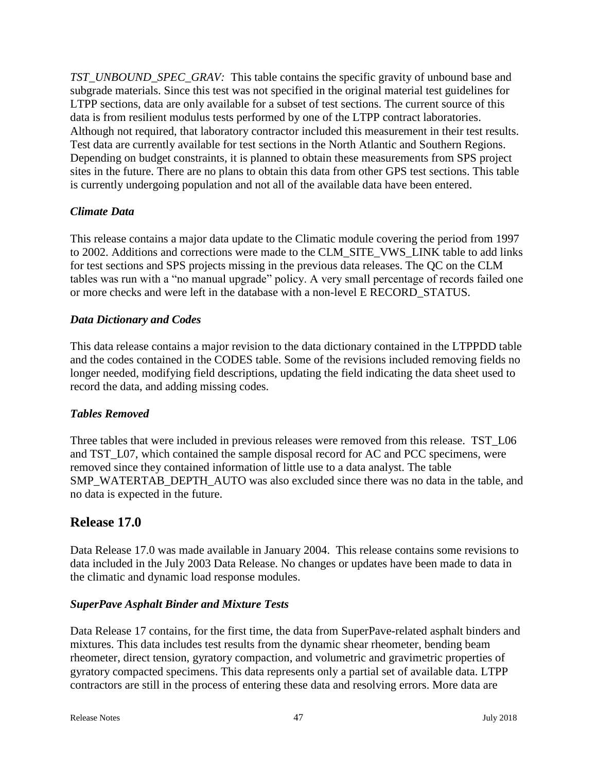*TST\_UNBOUND\_SPEC\_GRAV:* This table contains the specific gravity of unbound base and subgrade materials. Since this test was not specified in the original material test guidelines for LTPP sections, data are only available for a subset of test sections. The current source of this data is from resilient modulus tests performed by one of the LTPP contract laboratories. Although not required, that laboratory contractor included this measurement in their test results. Test data are currently available for test sections in the North Atlantic and Southern Regions. Depending on budget constraints, it is planned to obtain these measurements from SPS project sites in the future. There are no plans to obtain this data from other GPS test sections. This table is currently undergoing population and not all of the available data have been entered.

### *Climate Data*

This release contains a major data update to the Climatic module covering the period from 1997 to 2002. Additions and corrections were made to the CLM\_SITE\_VWS\_LINK table to add links for test sections and SPS projects missing in the previous data releases. The QC on the CLM tables was run with a "no manual upgrade" policy. A very small percentage of records failed one or more checks and were left in the database with a non-level E RECORD\_STATUS.

### *Data Dictionary and Codes*

This data release contains a major revision to the data dictionary contained in the LTPPDD table and the codes contained in the CODES table. Some of the revisions included removing fields no longer needed, modifying field descriptions, updating the field indicating the data sheet used to record the data, and adding missing codes.

### *Tables Removed*

Three tables that were included in previous releases were removed from this release. TST L06 and TST\_L07, which contained the sample disposal record for AC and PCC specimens, were removed since they contained information of little use to a data analyst. The table SMP\_WATERTAB\_DEPTH\_AUTO was also excluded since there was no data in the table, and no data is expected in the future.

# **Release 17.0**

Data Release 17.0 was made available in January 2004. This release contains some revisions to data included in the July 2003 Data Release. No changes or updates have been made to data in the climatic and dynamic load response modules.

### *SuperPave Asphalt Binder and Mixture Tests*

Data Release 17 contains, for the first time, the data from SuperPave-related asphalt binders and mixtures. This data includes test results from the dynamic shear rheometer, bending beam rheometer, direct tension, gyratory compaction, and volumetric and gravimetric properties of gyratory compacted specimens. This data represents only a partial set of available data. LTPP contractors are still in the process of entering these data and resolving errors. More data are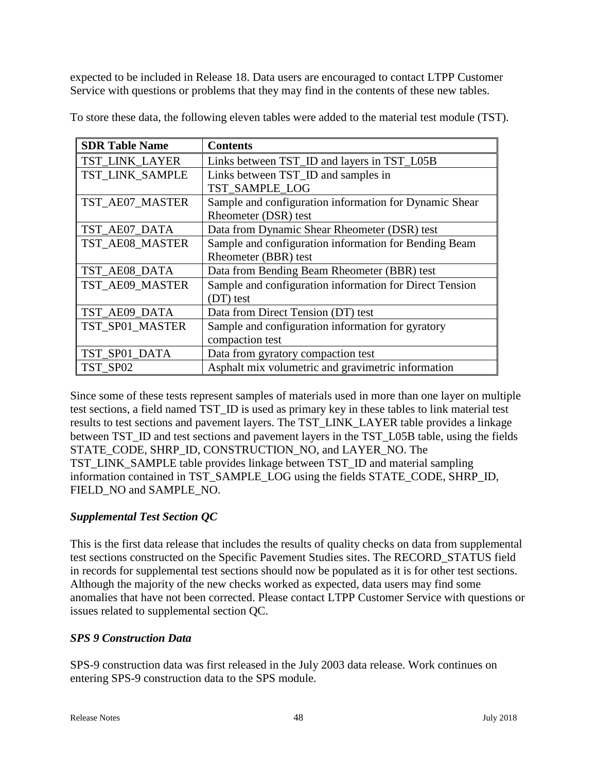expected to be included in Release 18. Data users are encouraged to contact LTPP Customer Service with questions or problems that they may find in the contents of these new tables.

| <b>SDR Table Name</b> | <b>Contents</b>                                         |
|-----------------------|---------------------------------------------------------|
| TST LINK LAYER        | Links between TST_ID and layers in TST_L05B             |
| TST LINK SAMPLE       | Links between TST_ID and samples in                     |
|                       | TST SAMPLE LOG                                          |
| TST_AE07_MASTER       | Sample and configuration information for Dynamic Shear  |
|                       | Rheometer (DSR) test                                    |
| TST_AE07_DATA         | Data from Dynamic Shear Rheometer (DSR) test            |
| TST_AE08_MASTER       | Sample and configuration information for Bending Beam   |
|                       | Rheometer (BBR) test                                    |
| TST_AE08_DATA         | Data from Bending Beam Rheometer (BBR) test             |
| TST_AE09_MASTER       | Sample and configuration information for Direct Tension |
|                       | (DT) test                                               |
| TST_AE09_DATA         | Data from Direct Tension (DT) test                      |
| TST_SP01_MASTER       | Sample and configuration information for gyratory       |
|                       | compaction test                                         |
| TST_SP01_DATA         | Data from gyratory compaction test                      |
| TST SP02              | Asphalt mix volumetric and gravimetric information      |

To store these data, the following eleven tables were added to the material test module (TST).

Since some of these tests represent samples of materials used in more than one layer on multiple test sections, a field named TST\_ID is used as primary key in these tables to link material test results to test sections and pavement layers. The TST\_LINK\_LAYER table provides a linkage between TST\_ID and test sections and pavement layers in the TST\_L05B table, using the fields STATE\_CODE, SHRP\_ID, CONSTRUCTION\_NO, and LAYER\_NO. The TST\_LINK\_SAMPLE table provides linkage between TST\_ID and material sampling information contained in TST\_SAMPLE\_LOG using the fields STATE\_CODE, SHRP\_ID, FIELD\_NO and SAMPLE\_NO.

### *Supplemental Test Section QC*

This is the first data release that includes the results of quality checks on data from supplemental test sections constructed on the Specific Pavement Studies sites. The RECORD\_STATUS field in records for supplemental test sections should now be populated as it is for other test sections. Although the majority of the new checks worked as expected, data users may find some anomalies that have not been corrected. Please contact LTPP Customer Service with questions or issues related to supplemental section QC.

### *SPS 9 Construction Data*

SPS-9 construction data was first released in the July 2003 data release. Work continues on entering SPS-9 construction data to the SPS module.